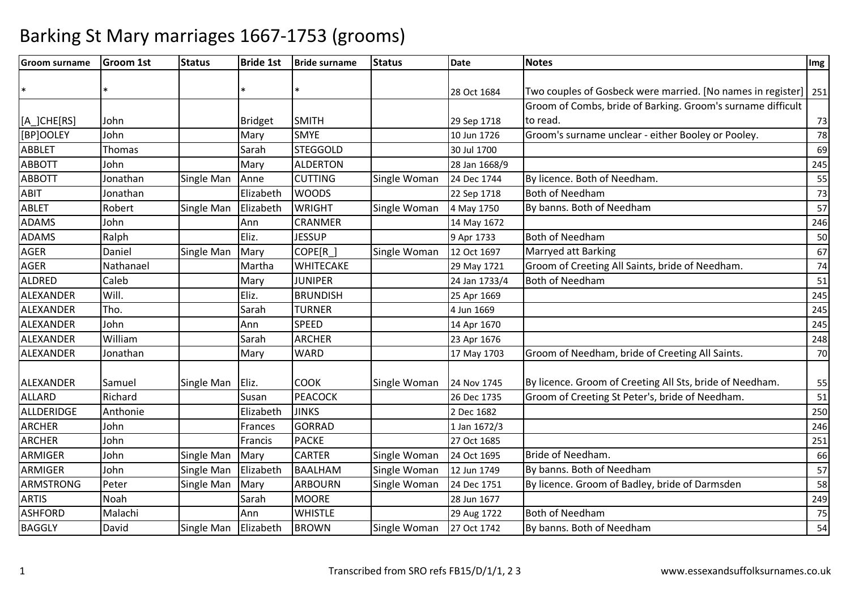| <b>Groom surname</b> | <b>Groom 1st</b> | <b>Status</b> | <b>Bride 1st</b> | <b>Bride surname</b> | <b>Status</b> | <b>Date</b>   | <b>Notes</b>                                                    | Img |
|----------------------|------------------|---------------|------------------|----------------------|---------------|---------------|-----------------------------------------------------------------|-----|
|                      |                  |               |                  |                      |               |               |                                                                 |     |
| $\ast$               |                  |               |                  |                      |               | 28 Oct 1684   | Two couples of Gosbeck were married. [No names in register] 251 |     |
|                      |                  |               |                  |                      |               |               | Groom of Combs, bride of Barking. Groom's surname difficult     |     |
| [A_]CHE[RS]          | John             |               | <b>Bridget</b>   | <b>SMITH</b>         |               | 29 Sep 1718   | to read.                                                        | 73  |
| [BP]OOLEY            | John             |               | Mary             | <b>SMYE</b>          |               | 10 Jun 1726   | Groom's surname unclear - either Booley or Pooley.              | 78  |
| <b>ABBLET</b>        | Thomas           |               | Sarah            | <b>STEGGOLD</b>      |               | 30 Jul 1700   |                                                                 | 69  |
| <b>ABBOTT</b>        | John             |               | Mary             | <b>ALDERTON</b>      |               | 28 Jan 1668/9 |                                                                 | 245 |
| <b>ABBOTT</b>        | Jonathan         | Single Man    | Anne             | <b>CUTTING</b>       | Single Woman  | 24 Dec 1744   | By licence. Both of Needham.                                    | 55  |
| ABIT                 | Jonathan         |               | Elizabeth        | <b>WOODS</b>         |               | 22 Sep 1718   | <b>Both of Needham</b>                                          | 73  |
| <b>ABLET</b>         | Robert           | Single Man    | Elizabeth        | <b>WRIGHT</b>        | Single Woman  | 4 May 1750    | By banns. Both of Needham                                       | 57  |
| <b>ADAMS</b>         | John             |               | Ann              | <b>CRANMER</b>       |               | 14 May 1672   |                                                                 | 246 |
| <b>ADAMS</b>         | Ralph            |               | Eliz.            | <b>JESSUP</b>        |               | 9 Apr 1733    | <b>Both of Needham</b>                                          | 50  |
| <b>AGER</b>          | Daniel           | Single Man    | Mary             | COPE[R]              | Single Woman  | 12 Oct 1697   | Marryed att Barking                                             | 67  |
| <b>AGER</b>          | Nathanael        |               | Martha           | <b>WHITECAKE</b>     |               | 29 May 1721   | Groom of Creeting All Saints, bride of Needham.                 | 74  |
| ALDRED               | Caleb            |               | Mary             | <b>JUNIPER</b>       |               | 24 Jan 1733/4 | <b>Both of Needham</b>                                          | 51  |
| ALEXANDER            | Will.            |               | Eliz.            | <b>BRUNDISH</b>      |               | 25 Apr 1669   |                                                                 | 245 |
| ALEXANDER            | Tho.             |               | Sarah            | <b>TURNER</b>        |               | 4 Jun 1669    |                                                                 | 245 |
| ALEXANDER            | John             |               | Ann              | <b>SPEED</b>         |               | 14 Apr 1670   |                                                                 | 245 |
| ALEXANDER            | William          |               | Sarah            | <b>ARCHER</b>        |               | 23 Apr 1676   |                                                                 | 248 |
| ALEXANDER            | Jonathan         |               | Mary             | <b>WARD</b>          |               | 17 May 1703   | Groom of Needham, bride of Creeting All Saints.                 | 70  |
| ALEXANDER            | Samuel           | Single Man    | Eliz.            | <b>COOK</b>          | Single Woman  | 24 Nov 1745   | By licence. Groom of Creeting All Sts, bride of Needham.        | 55  |
| <b>ALLARD</b>        | Richard          |               | Susan            | PEACOCK              |               | 26 Dec 1735   | Groom of Creeting St Peter's, bride of Needham.                 | 51  |
| ALLDERIDGE           | Anthonie         |               | Elizabeth        | <b>JINKS</b>         |               | 2 Dec 1682    |                                                                 | 250 |
| <b>ARCHER</b>        | John             |               | Frances          | <b>GORRAD</b>        |               | 1 Jan 1672/3  |                                                                 | 246 |
| <b>ARCHER</b>        | John             |               | Francis          | <b>PACKE</b>         |               | 27 Oct 1685   |                                                                 | 251 |
| ARMIGER              | John             | Single Man    | Mary             | <b>CARTER</b>        | Single Woman  | 24 Oct 1695   | Bride of Needham.                                               | 66  |
| ARMIGER              | John             | Single Man    | Elizabeth        | <b>BAALHAM</b>       | Single Woman  | 12 Jun 1749   | By banns. Both of Needham                                       | 57  |
| <b>ARMSTRONG</b>     | Peter            | Single Man    | Mary             | <b>ARBOURN</b>       | Single Woman  | 24 Dec 1751   | By licence. Groom of Badley, bride of Darmsden                  | 58  |
| <b>ARTIS</b>         | Noah             |               | Sarah            | <b>MOORE</b>         |               | 28 Jun 1677   |                                                                 | 249 |
| <b>ASHFORD</b>       | Malachi          |               | Ann              | <b>WHISTLE</b>       |               | 29 Aug 1722   | <b>Both of Needham</b>                                          | 75  |
| <b>BAGGLY</b>        | David            | Single Man    | Elizabeth        | <b>BROWN</b>         | Single Woman  | 27 Oct 1742   | By banns. Both of Needham                                       | 54  |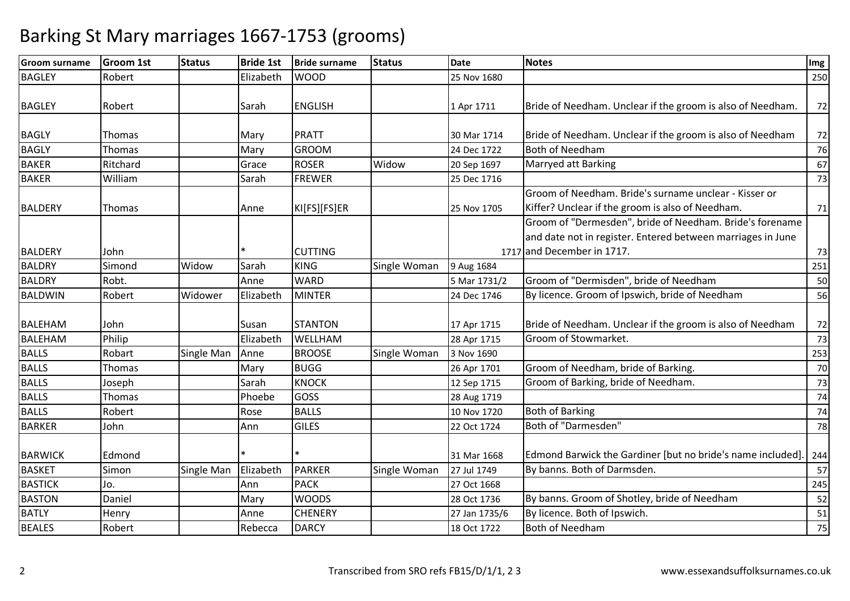| <b>Groom surname</b> | <b>Groom 1st</b> | <b>Status</b> | <b>Bride 1st</b> | <b>Bride surname</b> | <b>Status</b> | <b>Date</b>   | <b>Notes</b>                                                | Img |
|----------------------|------------------|---------------|------------------|----------------------|---------------|---------------|-------------------------------------------------------------|-----|
| <b>BAGLEY</b>        | Robert           |               | Elizabeth        | <b>WOOD</b>          |               | 25 Nov 1680   |                                                             | 250 |
|                      |                  |               |                  |                      |               |               |                                                             |     |
| <b>BAGLEY</b>        | Robert           |               | Sarah            | <b>ENGLISH</b>       |               | 1 Apr 1711    | Bride of Needham. Unclear if the groom is also of Needham.  | 72  |
|                      |                  |               |                  |                      |               |               |                                                             |     |
| <b>BAGLY</b>         | Thomas           |               | Mary             | <b>PRATT</b>         |               | 30 Mar 1714   | Bride of Needham. Unclear if the groom is also of Needham   | 72  |
| <b>BAGLY</b>         | <b>Thomas</b>    |               | Mary             | <b>GROOM</b>         |               | 24 Dec 1722   | <b>Both of Needham</b>                                      | 76  |
| <b>BAKER</b>         | Ritchard         |               | Grace            | <b>ROSER</b>         | Widow         | 20 Sep 1697   | Marryed att Barking                                         | 67  |
| <b>BAKER</b>         | William          |               | Sarah            | <b>FREWER</b>        |               | 25 Dec 1716   |                                                             | 73  |
|                      |                  |               |                  |                      |               |               | Groom of Needham. Bride's surname unclear - Kisser or       |     |
| <b>BALDERY</b>       | Thomas           |               | Anne             | KI[FS][FS]ER         |               | 25 Nov 1705   | Kiffer? Unclear if the groom is also of Needham.            | 71  |
|                      |                  |               |                  |                      |               |               | Groom of "Dermesden", bride of Needham. Bride's forename    |     |
|                      |                  |               |                  |                      |               |               | and date not in register. Entered between marriages in June |     |
| <b>BALDERY</b>       | John             |               |                  | <b>CUTTING</b>       |               |               | 1717 and December in 1717.                                  | 73  |
| BALDRY               | Simond           | Widow         | Sarah            | <b>KING</b>          | Single Woman  | 9 Aug 1684    |                                                             | 251 |
| <b>BALDRY</b>        | Robt.            |               | Anne             | <b>WARD</b>          |               | 5 Mar 1731/2  | Groom of "Dermisden", bride of Needham                      | 50  |
| <b>BALDWIN</b>       | Robert           | Widower       | Elizabeth        | <b>MINTER</b>        |               | 24 Dec 1746   | By licence. Groom of Ipswich, bride of Needham              | 56  |
|                      |                  |               |                  |                      |               |               |                                                             |     |
| <b>BALEHAM</b>       | John             |               | Susan            | <b>STANTON</b>       |               | 17 Apr 1715   | Bride of Needham. Unclear if the groom is also of Needham   | 72  |
| <b>BALEHAM</b>       | Philip           |               | Elizabeth        | WELLHAM              |               | 28 Apr 1715   | Groom of Stowmarket.                                        | 73  |
| <b>BALLS</b>         | Robart           | Single Man    | Anne             | <b>BROOSE</b>        | Single Woman  | 3 Nov 1690    |                                                             | 253 |
| <b>BALLS</b>         | Thomas           |               | Mary             | <b>BUGG</b>          |               | 26 Apr 1701   | Groom of Needham, bride of Barking.                         | 70  |
| <b>BALLS</b>         | Joseph           |               | Sarah            | <b>KNOCK</b>         |               | 12 Sep 1715   | Groom of Barking, bride of Needham.                         | 73  |
| <b>BALLS</b>         | <b>Thomas</b>    |               | Phoebe           | <b>GOSS</b>          |               | 28 Aug 1719   |                                                             | 74  |
| <b>BALLS</b>         | Robert           |               | Rose             | <b>BALLS</b>         |               | 10 Nov 1720   | <b>Both of Barking</b>                                      | 74  |
| <b>BARKER</b>        | John             |               | Ann              | <b>GILES</b>         |               | 22 Oct 1724   | Both of "Darmesden"                                         | 78  |
|                      |                  |               |                  |                      |               |               |                                                             |     |
| <b>BARWICK</b>       | Edmond           |               |                  |                      |               | 31 Mar 1668   | Edmond Barwick the Gardiner [but no bride's name included]. | 244 |
| <b>BASKET</b>        | Simon            | Single Man    | Elizabeth        | <b>PARKER</b>        | Single Woman  | 27 Jul 1749   | By banns. Both of Darmsden.                                 | 57  |
| <b>BASTICK</b>       | Jo.              |               | Ann              | <b>PACK</b>          |               | 27 Oct 1668   |                                                             | 245 |
| <b>BASTON</b>        | Daniel           |               | Mary             | <b>WOODS</b>         |               | 28 Oct 1736   | By banns. Groom of Shotley, bride of Needham                | 52  |
| <b>BATLY</b>         | Henry            |               | Anne             | <b>CHENERY</b>       |               | 27 Jan 1735/6 | By licence. Both of Ipswich.                                | 51  |
| <b>BEALES</b>        | Robert           |               | Rebecca          | <b>DARCY</b>         |               | 18 Oct 1722   | <b>Both of Needham</b>                                      | 75  |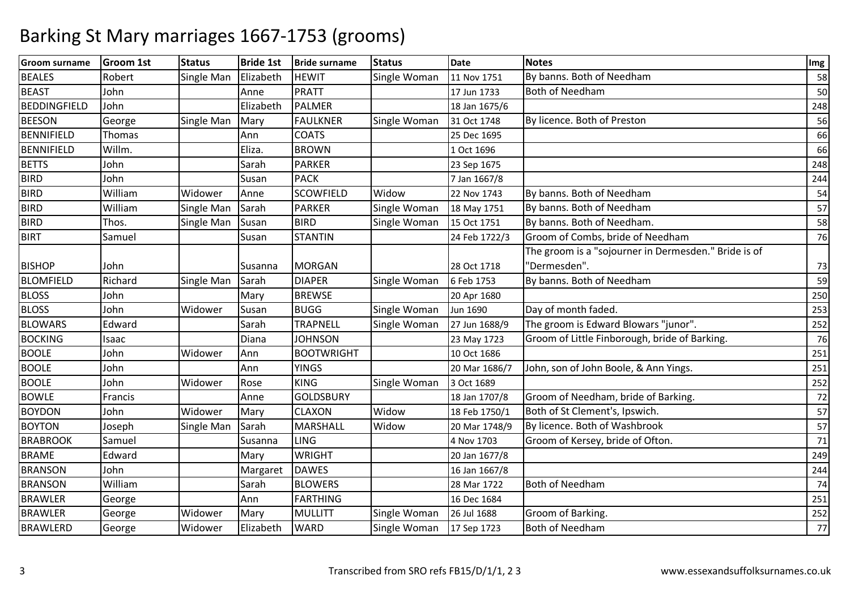| <b>Groom surname</b> | Groom 1st | <b>Status</b> | <b>Bride 1st</b> | <b>Bride surname</b> | <b>Status</b> | <b>Date</b>   | <b>Notes</b>                                         | Img |
|----------------------|-----------|---------------|------------------|----------------------|---------------|---------------|------------------------------------------------------|-----|
| <b>BEALES</b>        | Robert    | Single Man    | Elizabeth        | <b>HEWIT</b>         | Single Woman  | 11 Nov 1751   | By banns. Both of Needham                            | 58  |
| <b>BEAST</b>         | John      |               | Anne             | <b>PRATT</b>         |               | 17 Jun 1733   | <b>Both of Needham</b>                               | 50  |
| <b>BEDDINGFIELD</b>  | John      |               | Elizabeth        | <b>PALMER</b>        |               | 18 Jan 1675/6 |                                                      | 248 |
| <b>BEESON</b>        | George    | Single Man    | Mary             | <b>FAULKNER</b>      | Single Woman  | 31 Oct 1748   | By licence. Both of Preston                          | 56  |
| <b>BENNIFIELD</b>    | Thomas    |               | Ann              | <b>COATS</b>         |               | 25 Dec 1695   |                                                      | 66  |
| <b>BENNIFIELD</b>    | Willm.    |               | Eliza.           | <b>BROWN</b>         |               | 1 Oct 1696    |                                                      | 66  |
| <b>BETTS</b>         | John      |               | Sarah            | <b>PARKER</b>        |               | 23 Sep 1675   |                                                      | 248 |
| <b>BIRD</b>          | John      |               | Susan            | <b>PACK</b>          |               | 7 Jan 1667/8  |                                                      | 244 |
| <b>BIRD</b>          | William   | Widower       | Anne             | <b>SCOWFIELD</b>     | Widow         | 22 Nov 1743   | By banns. Both of Needham                            | 54  |
| <b>BIRD</b>          | William   | Single Man    | Sarah            | <b>PARKER</b>        | Single Woman  | 18 May 1751   | By banns. Both of Needham                            | 57  |
| <b>BIRD</b>          | Thos.     | Single Man    | Susan            | <b>BIRD</b>          | Single Woman  | 15 Oct 1751   | By banns. Both of Needham.                           | 58  |
| <b>BIRT</b>          | Samuel    |               | Susan            | <b>STANTIN</b>       |               | 24 Feb 1722/3 | Groom of Combs, bride of Needham                     | 76  |
|                      |           |               |                  |                      |               |               | The groom is a "sojourner in Dermesden." Bride is of |     |
| <b>BISHOP</b>        | John      |               | Susanna          | <b>MORGAN</b>        |               | 28 Oct 1718   | "Dermesden".                                         | 73  |
| <b>BLOMFIELD</b>     | Richard   | Single Man    | Sarah            | <b>DIAPER</b>        | Single Woman  | 6 Feb 1753    | By banns. Both of Needham                            | 59  |
| <b>BLOSS</b>         | John      |               | Mary             | <b>BREWSE</b>        |               | 20 Apr 1680   |                                                      | 250 |
| <b>BLOSS</b>         | John      | Widower       | Susan            | <b>BUGG</b>          | Single Woman  | Jun 1690      | Day of month faded.                                  | 253 |
| <b>BLOWARS</b>       | Edward    |               | Sarah            | <b>TRAPNELL</b>      | Single Woman  | 27 Jun 1688/9 | The groom is Edward Blowars "junor".                 | 252 |
| <b>BOCKING</b>       | Isaac     |               | Diana            | <b>JOHNSON</b>       |               | 23 May 1723   | Groom of Little Finborough, bride of Barking.        | 76  |
| <b>BOOLE</b>         | John      | Widower       | Ann              | <b>BOOTWRIGHT</b>    |               | 10 Oct 1686   |                                                      | 251 |
| <b>BOOLE</b>         | John      |               | Ann              | <b>YINGS</b>         |               | 20 Mar 1686/7 | John, son of John Boole, & Ann Yings.                | 251 |
| <b>BOOLE</b>         | John      | Widower       | Rose             | <b>KING</b>          | Single Woman  | 3 Oct 1689    |                                                      | 252 |
| <b>BOWLE</b>         | Francis   |               | Anne             | <b>GOLDSBURY</b>     |               | 18 Jan 1707/8 | Groom of Needham, bride of Barking.                  | 72  |
| <b>BOYDON</b>        | John      | Widower       | Mary             | <b>CLAXON</b>        | Widow         | 18 Feb 1750/1 | Both of St Clement's, Ipswich.                       | 57  |
| <b>BOYTON</b>        | Joseph    | Single Man    | Sarah            | <b>MARSHALL</b>      | Widow         | 20 Mar 1748/9 | By licence. Both of Washbrook                        | 57  |
| <b>BRABROOK</b>      | Samuel    |               | Susanna          | <b>LING</b>          |               | 4 Nov 1703    | Groom of Kersey, bride of Ofton.                     | 71  |
| <b>BRAME</b>         | Edward    |               | Mary             | <b>WRIGHT</b>        |               | 20 Jan 1677/8 |                                                      | 249 |
| <b>BRANSON</b>       | John      |               | Margaret         | <b>DAWES</b>         |               | 16 Jan 1667/8 |                                                      | 244 |
| <b>BRANSON</b>       | William   |               | Sarah            | <b>BLOWERS</b>       |               | 28 Mar 1722   | <b>Both of Needham</b>                               | 74  |
| <b>BRAWLER</b>       | George    |               | Ann              | <b>FARTHING</b>      |               | 16 Dec 1684   |                                                      | 251 |
| <b>BRAWLER</b>       | George    | Widower       | Mary             | MULLITT              | Single Woman  | 26 Jul 1688   | Groom of Barking.                                    | 252 |
| <b>BRAWLERD</b>      | George    | Widower       | Elizabeth        | <b>WARD</b>          | Single Woman  | 17 Sep 1723   | <b>Both of Needham</b>                               | 77  |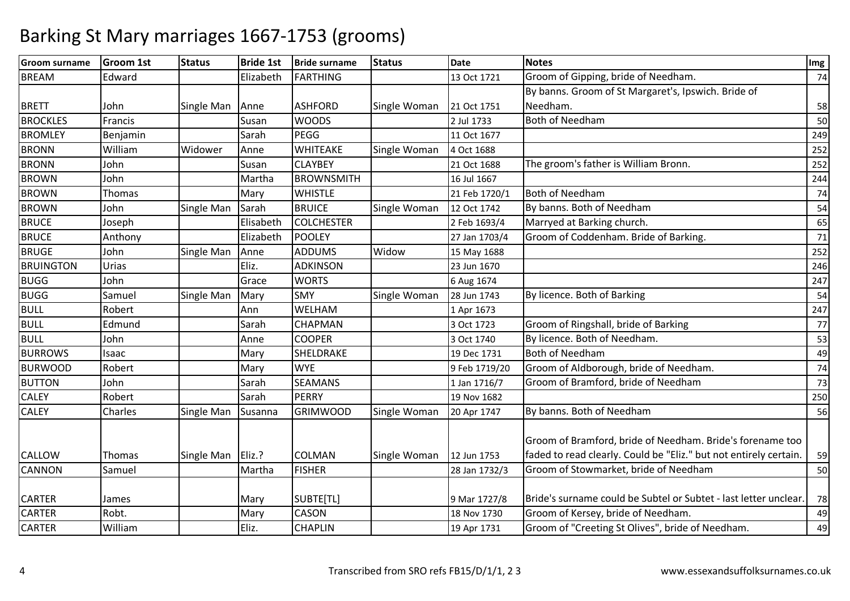| <b>Groom surname</b> | <b>Groom 1st</b> | <b>Status</b> | <b>Bride 1st</b> | <b>Bride surname</b> | <b>Status</b> | Date          | <b>Notes</b>                                                                                                                   | Img    |
|----------------------|------------------|---------------|------------------|----------------------|---------------|---------------|--------------------------------------------------------------------------------------------------------------------------------|--------|
| <b>BREAM</b>         | Edward           |               | Elizabeth        | <b>FARTHING</b>      |               | 13 Oct 1721   | Groom of Gipping, bride of Needham.                                                                                            | 74     |
|                      |                  |               |                  |                      |               |               | By banns. Groom of St Margaret's, Ipswich. Bride of                                                                            |        |
| <b>BRETT</b>         | John             | Single Man    | Anne             | <b>ASHFORD</b>       | Single Woman  | 21 Oct 1751   | Needham.                                                                                                                       | 58     |
| <b>BROCKLES</b>      | Francis          |               | Susan            | <b>WOODS</b>         |               | 2 Jul 1733    | <b>Both of Needham</b>                                                                                                         | 50     |
| <b>BROMLEY</b>       | Benjamin         |               | Sarah            | <b>PEGG</b>          |               | 11 Oct 1677   |                                                                                                                                | 249    |
| <b>BRONN</b>         | William          | Widower       | Anne             | <b>WHITEAKE</b>      | Single Woman  | 4 Oct 1688    |                                                                                                                                | 252    |
| <b>BRONN</b>         | John             |               | Susan            | <b>CLAYBEY</b>       |               | 21 Oct 1688   | The groom's father is William Bronn.                                                                                           | 252    |
| <b>BROWN</b>         | John             |               | Martha           | <b>BROWNSMITH</b>    |               | 16 Jul 1667   |                                                                                                                                | 244    |
| <b>BROWN</b>         | Thomas           |               | Mary             | <b>WHISTLE</b>       |               | 21 Feb 1720/1 | <b>Both of Needham</b>                                                                                                         | 74     |
| <b>BROWN</b>         | John             | Single Man    | Sarah            | <b>BRUICE</b>        | Single Woman  | 12 Oct 1742   | By banns. Both of Needham                                                                                                      | 54     |
| <b>BRUCE</b>         | Joseph           |               | Elisabeth        | <b>COLCHESTER</b>    |               | 2 Feb 1693/4  | Marryed at Barking church.                                                                                                     | 65     |
| <b>BRUCE</b>         | Anthony          |               | Elizabeth        | <b>POOLEY</b>        |               | 27 Jan 1703/4 | Groom of Coddenham. Bride of Barking.                                                                                          | 71     |
| <b>BRUGE</b>         | John             | Single Man    | Anne             | <b>ADDUMS</b>        | Widow         | 15 May 1688   |                                                                                                                                | 252    |
| <b>BRUINGTON</b>     | Urias            |               | Eliz.            | <b>ADKINSON</b>      |               | 23 Jun 1670   |                                                                                                                                | 246    |
| <b>BUGG</b>          | John             |               | Grace            | <b>WORTS</b>         |               | 6 Aug 1674    |                                                                                                                                | 247    |
| <b>BUGG</b>          | Samuel           | Single Man    | Mary             | <b>SMY</b>           | Single Woman  | 28 Jun 1743   | By licence. Both of Barking                                                                                                    | 54     |
| <b>BULL</b>          | Robert           |               | Ann              | WELHAM               |               | 1 Apr 1673    |                                                                                                                                | 247    |
| <b>BULL</b>          | Edmund           |               | Sarah            | <b>CHAPMAN</b>       |               | 3 Oct 1723    | Groom of Ringshall, bride of Barking                                                                                           | 77     |
| <b>BULL</b>          | John             |               | Anne             | <b>COOPER</b>        |               | 3 Oct 1740    | By licence. Both of Needham.                                                                                                   | 53     |
| <b>BURROWS</b>       | Isaac            |               | Mary             | SHELDRAKE            |               | 19 Dec 1731   | <b>Both of Needham</b>                                                                                                         | 49     |
| <b>BURWOOD</b>       | Robert           |               | Mary             | <b>WYE</b>           |               | 9 Feb 1719/20 | Groom of Aldborough, bride of Needham.                                                                                         | 74     |
| <b>BUTTON</b>        | John             |               | Sarah            | <b>SEAMANS</b>       |               | 1 Jan 1716/7  | Groom of Bramford, bride of Needham                                                                                            | $73\,$ |
| <b>CALEY</b>         | Robert           |               | Sarah            | <b>PERRY</b>         |               | 19 Nov 1682   |                                                                                                                                | 250    |
| <b>CALEY</b>         | Charles          | Single Man    | Susanna          | <b>GRIMWOOD</b>      | Single Woman  | 20 Apr 1747   | By banns. Both of Needham                                                                                                      | 56     |
| CALLOW               | <b>Thomas</b>    | Single Man    | Eliz.?           | COLMAN               | Single Woman  | 12 Jun 1753   | Groom of Bramford, bride of Needham. Bride's forename too<br>faded to read clearly. Could be "Eliz." but not entirely certain. | 59     |
| <b>CANNON</b>        | Samuel           |               | Martha           | <b>FISHER</b>        |               | 28 Jan 1732/3 | Groom of Stowmarket, bride of Needham                                                                                          | 50     |
|                      |                  |               |                  |                      |               |               |                                                                                                                                |        |
| <b>CARTER</b>        | James            |               | Mary             | SUBTE[TL]            |               | 9 Mar 1727/8  | Bride's surname could be Subtel or Subtet - last letter unclear.                                                               | 78     |
| <b>CARTER</b>        | Robt.            |               | Mary             | CASON                |               | 18 Nov 1730   | Groom of Kersey, bride of Needham.                                                                                             | 49     |
| <b>CARTER</b>        | William          |               | Eliz.            | <b>CHAPLIN</b>       |               | 19 Apr 1731   | Groom of "Creeting St Olives", bride of Needham.                                                                               | 49     |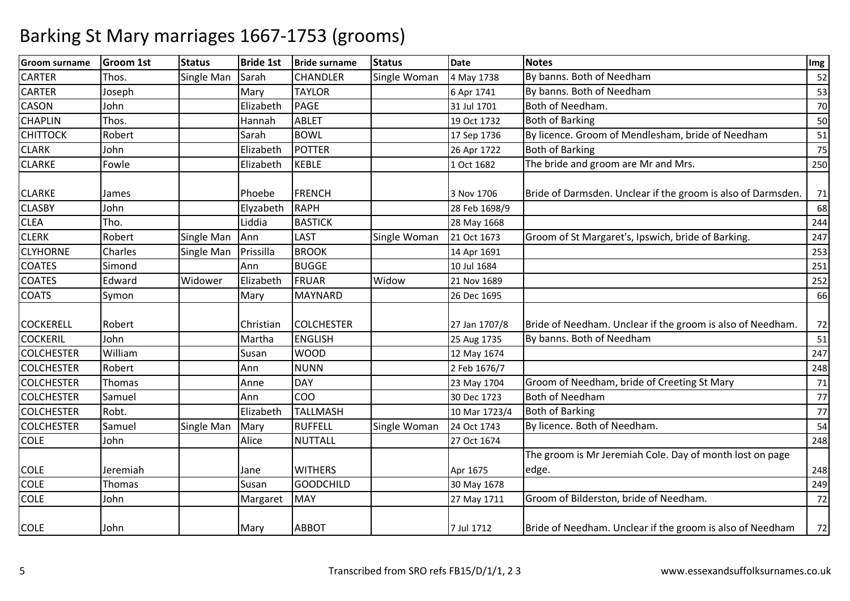| <b>Groom surname</b> | Groom 1st | <b>Status</b> | <b>Bride 1st</b> | <b>Bride surname</b> | <b>Status</b> | <b>Date</b>   | <b>Notes</b>                                                 | Img    |
|----------------------|-----------|---------------|------------------|----------------------|---------------|---------------|--------------------------------------------------------------|--------|
| <b>CARTER</b>        | Thos.     | Single Man    | Sarah            | <b>CHANDLER</b>      | Single Woman  | 4 May 1738    | By banns. Both of Needham                                    | 52     |
| <b>CARTER</b>        | Joseph    |               | Mary             | <b>TAYLOR</b>        |               | 6 Apr 1741    | By banns. Both of Needham                                    | 53     |
| <b>CASON</b>         | John      |               | Elizabeth        | <b>PAGE</b>          |               | 31 Jul 1701   | Both of Needham.                                             | 70     |
| <b>CHAPLIN</b>       | Thos.     |               | Hannah           | <b>ABLET</b>         |               | 19 Oct 1732   | <b>Both of Barking</b>                                       | 50     |
| <b>CHITTOCK</b>      | Robert    |               | Sarah            | <b>BOWL</b>          |               | 17 Sep 1736   | By licence. Groom of Mendlesham, bride of Needham            | 51     |
| <b>CLARK</b>         | John      |               | Elizabeth        | POTTER               |               | 26 Apr 1722   | <b>Both of Barking</b>                                       | $75\,$ |
| <b>CLARKE</b>        | Fowle     |               | Elizabeth        | <b>KEBLE</b>         |               | 1 Oct 1682    | The bride and groom are Mr and Mrs.                          | 250    |
| <b>CLARKE</b>        | James     |               | Phoebe           | <b>FRENCH</b>        |               | 3 Nov 1706    | Bride of Darmsden. Unclear if the groom is also of Darmsden. | 71     |
| <b>CLASBY</b>        | John      |               | Elyzabeth        | <b>RAPH</b>          |               | 28 Feb 1698/9 |                                                              | 68     |
| <b>CLEA</b>          | Tho.      |               | Liddia           | <b>BASTICK</b>       |               | 28 May 1668   |                                                              | 244    |
| <b>CLERK</b>         | Robert    | Single Man    | Ann              | <b>LAST</b>          | Single Woman  | 21 Oct 1673   | Groom of St Margaret's, Ipswich, bride of Barking.           | 247    |
| <b>CLYHORNE</b>      | Charles   | Single Man    | Prissilla        | <b>BROOK</b>         |               | 14 Apr 1691   |                                                              | 253    |
| <b>COATES</b>        | Simond    |               | Ann              | <b>BUGGE</b>         |               | 10 Jul 1684   |                                                              | 251    |
| <b>COATES</b>        | Edward    | Widower       | Elizabeth        | <b>FRUAR</b>         | Widow         | 21 Nov 1689   |                                                              | 252    |
| <b>COATS</b>         | Symon     |               | Mary             | <b>MAYNARD</b>       |               | 26 Dec 1695   |                                                              | 66     |
| <b>COCKERELL</b>     | Robert    |               | Christian        | <b>COLCHESTER</b>    |               | 27 Jan 1707/8 | Bride of Needham. Unclear if the groom is also of Needham.   | 72     |
| <b>COCKERIL</b>      | John      |               | Martha           | <b>ENGLISH</b>       |               | 25 Aug 1735   | By banns. Both of Needham                                    | 51     |
| <b>COLCHESTER</b>    | William   |               | Susan            | <b>WOOD</b>          |               | 12 May 1674   |                                                              | 247    |
| <b>COLCHESTER</b>    | Robert    |               | Ann              | <b>NUNN</b>          |               | 2 Feb 1676/7  |                                                              | 248    |
| <b>COLCHESTER</b>    | Thomas    |               | Anne             | <b>DAY</b>           |               | 23 May 1704   | Groom of Needham, bride of Creeting St Mary                  | 71     |
| <b>COLCHESTER</b>    | Samuel    |               | Ann              | <b>COO</b>           |               | 30 Dec 1723   | <b>Both of Needham</b>                                       | 77     |
| <b>COLCHESTER</b>    | Robt.     |               | Elizabeth        | <b>TALLMASH</b>      |               | 10 Mar 1723/4 | <b>Both of Barking</b>                                       | 77     |
| <b>COLCHESTER</b>    | Samuel    | Single Man    | Mary             | <b>RUFFELL</b>       | Single Woman  | 24 Oct 1743   | By licence. Both of Needham.                                 | 54     |
| <b>COLE</b>          | John      |               | Alice            | <b>NUTTALL</b>       |               | 27 Oct 1674   |                                                              | 248    |
|                      |           |               |                  |                      |               |               | The groom is Mr Jeremiah Cole. Day of month lost on page     |        |
| <b>COLE</b>          | Jeremiah  |               | Jane             | <b>WITHERS</b>       |               | Apr 1675      | edge.                                                        | 248    |
| <b>COLE</b>          | Thomas    |               | Susan            | <b>GOODCHILD</b>     |               | 30 May 1678   |                                                              | 249    |
| <b>COLE</b>          | John      |               | Margaret         | <b>MAY</b>           |               | 27 May 1711   | Groom of Bilderston, bride of Needham.                       | 72     |
| <b>COLE</b>          | John      |               | Mary             | <b>ABBOT</b>         |               | 7 Jul 1712    | Bride of Needham. Unclear if the groom is also of Needham    | 72     |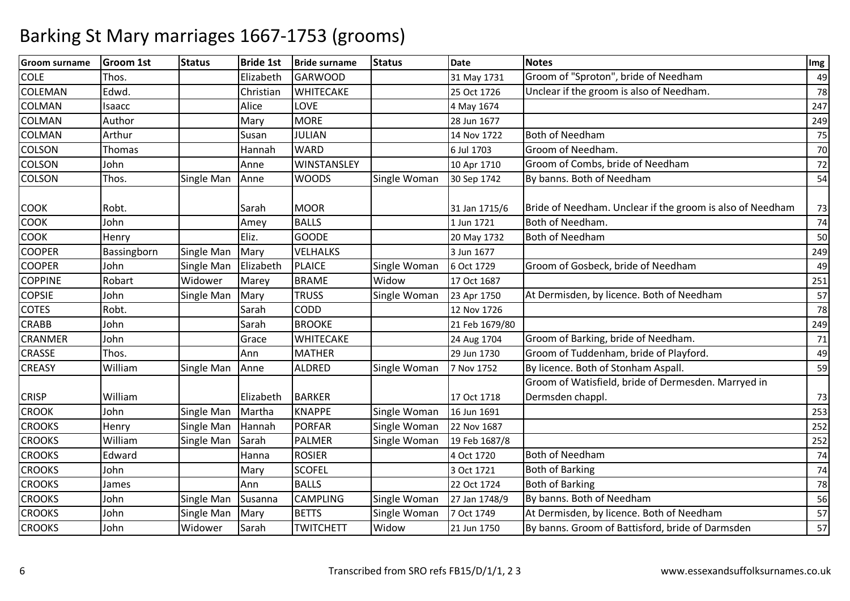| <b>Groom surname</b> | <b>Groom 1st</b> | <b>Status</b> | <b>Bride 1st</b> | <b>Bride surname</b> | <b>Status</b> | <b>Date</b>    | <b>Notes</b>                                              | Img |
|----------------------|------------------|---------------|------------------|----------------------|---------------|----------------|-----------------------------------------------------------|-----|
| <b>COLE</b>          | Thos.            |               | Elizabeth        | <b>GARWOOD</b>       |               | 31 May 1731    | Groom of "Sproton", bride of Needham                      | 49  |
| <b>COLEMAN</b>       | Edwd.            |               | Christian        | <b>WHITECAKE</b>     |               | 25 Oct 1726    | Unclear if the groom is also of Needham.                  | 78  |
| <b>COLMAN</b>        | Isaacc           |               | Alice            | LOVE                 |               | 4 May 1674     |                                                           | 247 |
| COLMAN               | Author           |               | Mary             | <b>MORE</b>          |               | 28 Jun 1677    |                                                           | 249 |
| <b>COLMAN</b>        | Arthur           |               | Susan            | <b>JULIAN</b>        |               | 14 Nov 1722    | <b>Both of Needham</b>                                    | 75  |
| <b>COLSON</b>        | Thomas           |               | Hannah           | <b>WARD</b>          |               | 6 Jul 1703     | Groom of Needham.                                         | 70  |
| <b>COLSON</b>        | John             |               | Anne             | WINSTANSLEY          |               | 10 Apr 1710    | Groom of Combs, bride of Needham                          | 72  |
| COLSON               | Thos.            | Single Man    | Anne             | <b>WOODS</b>         | Single Woman  | 30 Sep 1742    | By banns. Both of Needham                                 | 54  |
| <b>COOK</b>          | Robt.            |               | Sarah            | <b>MOOR</b>          |               | 31 Jan 1715/6  | Bride of Needham. Unclear if the groom is also of Needham | 73  |
| COOK                 | John             |               | Amey             | <b>BALLS</b>         |               | 1 Jun 1721     | Both of Needham.                                          | 74  |
| <b>COOK</b>          | Henry            |               | Eliz.            | <b>GOODE</b>         |               | 20 May 1732    | Both of Needham                                           | 50  |
| <b>COOPER</b>        | Bassingborn      | Single Man    | Mary             | <b>VELHALKS</b>      |               | 3 Jun 1677     |                                                           | 249 |
| <b>COOPER</b>        | John             | Single Man    | Elizabeth        | <b>PLAICE</b>        | Single Woman  | 6 Oct 1729     | Groom of Gosbeck, bride of Needham                        | 49  |
| <b>COPPINE</b>       | Robart           | Widower       | Marey            | <b>BRAME</b>         | Widow         | 17 Oct 1687    |                                                           | 251 |
| <b>COPSIE</b>        | John             | Single Man    | Mary             | <b>TRUSS</b>         | Single Woman  | 23 Apr 1750    | At Dermisden, by licence. Both of Needham                 | 57  |
| <b>COTES</b>         | Robt.            |               | Sarah            | <b>CODD</b>          |               | 12 Nov 1726    |                                                           | 78  |
| <b>CRABB</b>         | John             |               | Sarah            | <b>BROOKE</b>        |               | 21 Feb 1679/80 |                                                           | 249 |
| <b>CRANMER</b>       | John             |               | Grace            | <b>WHITECAKE</b>     |               | 24 Aug 1704    | Groom of Barking, bride of Needham.                       | 71  |
| CRASSE               | Thos.            |               | Ann              | <b>MATHER</b>        |               | 29 Jun 1730    | Groom of Tuddenham, bride of Playford.                    | 49  |
| <b>CREASY</b>        | William          | Single Man    | Anne             | <b>ALDRED</b>        | Single Woman  | 7 Nov 1752     | By licence. Both of Stonham Aspall.                       | 59  |
|                      |                  |               |                  |                      |               |                | Groom of Watisfield, bride of Dermesden. Marryed in       |     |
| <b>CRISP</b>         | William          |               | Elizabeth        | <b>BARKER</b>        |               | 17 Oct 1718    | Dermsden chappl.                                          | 73  |
| <b>CROOK</b>         | John             | Single Man    | Martha           | <b>KNAPPE</b>        | Single Woman  | 16 Jun 1691    |                                                           | 253 |
| <b>CROOKS</b>        | Henry            | Single Man    | Hannah           | <b>PORFAR</b>        | Single Woman  | 22 Nov 1687    |                                                           | 252 |
| <b>CROOKS</b>        | William          | Single Man    | Sarah            | <b>PALMER</b>        | Single Woman  | 19 Feb 1687/8  |                                                           | 252 |
| <b>CROOKS</b>        | Edward           |               | Hanna            | <b>ROSIER</b>        |               | 4 Oct 1720     | Both of Needham                                           | 74  |
| <b>CROOKS</b>        | John             |               | Mary             | <b>SCOFEL</b>        |               | 3 Oct 1721     | <b>Both of Barking</b>                                    | 74  |
| <b>CROOKS</b>        | James            |               | Ann              | <b>BALLS</b>         |               | 22 Oct 1724    | <b>Both of Barking</b>                                    | 78  |
| <b>CROOKS</b>        | John             | Single Man    | Susanna          | <b>CAMPLING</b>      | Single Woman  | 27 Jan 1748/9  | By banns. Both of Needham                                 | 56  |
| <b>CROOKS</b>        | John             | Single Man    | Mary             | <b>BETTS</b>         | Single Woman  | 7 Oct 1749     | At Dermisden, by licence. Both of Needham                 | 57  |
| <b>CROOKS</b>        | John             | Widower       | Sarah            | <b>TWITCHETT</b>     | Widow         | 21 Jun 1750    | By banns. Groom of Battisford, bride of Darmsden          | 57  |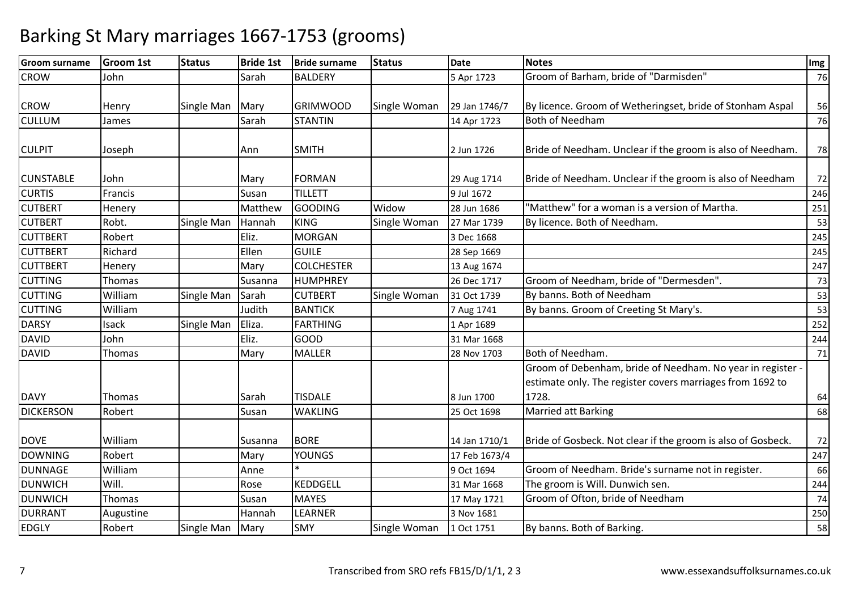| <b>Groom surname</b> | <b>Groom 1st</b> | <b>Status</b> | <b>Bride 1st</b> | <b>Bride surname</b> | <b>Status</b> | <b>Date</b>   | <b>Notes</b>                                                 | <b>Img</b> |
|----------------------|------------------|---------------|------------------|----------------------|---------------|---------------|--------------------------------------------------------------|------------|
| <b>CROW</b>          | John             |               | Sarah            | <b>BALDERY</b>       |               | 5 Apr 1723    | Groom of Barham, bride of "Darmisden"                        | 76         |
|                      |                  |               |                  |                      |               |               |                                                              |            |
| <b>CROW</b>          | Henry            | Single Man    | Mary             | <b>GRIMWOOD</b>      | Single Woman  | 29 Jan 1746/7 | By licence. Groom of Wetheringset, bride of Stonham Aspal    | 56         |
| <b>CULLUM</b>        | James            |               | Sarah            | <b>STANTIN</b>       |               | 14 Apr 1723   | <b>Both of Needham</b>                                       | 76         |
|                      |                  |               |                  |                      |               |               |                                                              |            |
| <b>CULPIT</b>        | Joseph           |               | Ann              | <b>SMITH</b>         |               | 2 Jun 1726    | Bride of Needham. Unclear if the groom is also of Needham.   | 78         |
|                      |                  |               |                  |                      |               |               |                                                              |            |
| <b>CUNSTABLE</b>     | John             |               | Mary             | <b>FORMAN</b>        |               | 29 Aug 1714   | Bride of Needham. Unclear if the groom is also of Needham    | 72         |
| <b>CURTIS</b>        | Francis          |               | Susan            | <b>TILLETT</b>       |               | 9 Jul 1672    |                                                              | 246        |
| <b>CUTBERT</b>       | Henery           |               | Matthew          | <b>GOODING</b>       | Widow         | 28 Jun 1686   | "Matthew" for a woman is a version of Martha.                | 251        |
| <b>CUTBERT</b>       | Robt.            | Single Man    | Hannah           | <b>KING</b>          | Single Woman  | 27 Mar 1739   | By licence. Both of Needham.                                 | 53         |
| <b>CUTTBERT</b>      | Robert           |               | Eliz.            | <b>MORGAN</b>        |               | 3 Dec 1668    |                                                              | 245        |
| <b>CUTTBERT</b>      | Richard          |               | Ellen            | <b>GUILE</b>         |               | 28 Sep 1669   |                                                              | 245        |
| <b>CUTTBERT</b>      | Henery           |               | Mary             | <b>COLCHESTER</b>    |               | 13 Aug 1674   |                                                              | 247        |
| <b>CUTTING</b>       | Thomas           |               | Susanna          | <b>HUMPHREY</b>      |               | 26 Dec 1717   | Groom of Needham, bride of "Dermesden".                      | 73         |
| <b>CUTTING</b>       | William          | Single Man    | Sarah            | <b>CUTBERT</b>       | Single Woman  | 31 Oct 1739   | By banns. Both of Needham                                    | 53         |
| <b>CUTTING</b>       | William          |               | Judith           | <b>BANTICK</b>       |               | 7 Aug 1741    | By banns. Groom of Creeting St Mary's.                       | 53         |
| <b>DARSY</b>         | Isack            | Single Man    | Eliza.           | <b>FARTHING</b>      |               | 1 Apr 1689    |                                                              | 252        |
| <b>DAVID</b>         | John             |               | Eliz.            | <b>GOOD</b>          |               | 31 Mar 1668   |                                                              | 244        |
| <b>DAVID</b>         | Thomas           |               | Mary             | <b>MALLER</b>        |               | 28 Nov 1703   | Both of Needham.                                             | 71         |
|                      |                  |               |                  |                      |               |               | Groom of Debenham, bride of Needham. No year in register -   |            |
|                      |                  |               |                  |                      |               |               | estimate only. The register covers marriages from 1692 to    |            |
| <b>DAVY</b>          | Thomas           |               | Sarah            | <b>TISDALE</b>       |               | 8 Jun 1700    | 1728.                                                        | 64         |
| <b>DICKERSON</b>     | Robert           |               | Susan            | <b>WAKLING</b>       |               | 25 Oct 1698   | <b>Married att Barking</b>                                   | 68         |
|                      |                  |               |                  |                      |               |               |                                                              |            |
| <b>DOVE</b>          | William          |               | Susanna          | <b>BORE</b>          |               | 14 Jan 1710/1 | Bride of Gosbeck. Not clear if the groom is also of Gosbeck. | 72         |
| <b>DOWNING</b>       | Robert           |               | Mary             | <b>YOUNGS</b>        |               | 17 Feb 1673/4 |                                                              | 247        |
| <b>DUNNAGE</b>       | William          |               | Anne             |                      |               | 9 Oct 1694    | Groom of Needham. Bride's surname not in register.           | 66         |
| <b>DUNWICH</b>       | Will.            |               | Rose             | <b>KEDDGELL</b>      |               | 31 Mar 1668   | The groom is Will. Dunwich sen.                              | 244        |
| <b>DUNWICH</b>       | Thomas           |               | Susan            | <b>MAYES</b>         |               | 17 May 1721   | Groom of Ofton, bride of Needham                             | 74         |
| <b>DURRANT</b>       | Augustine        |               | Hannah           | <b>LEARNER</b>       |               | 3 Nov 1681    |                                                              | 250        |
| <b>EDGLY</b>         | Robert           | Single Man    | Mary             | <b>SMY</b>           | Single Woman  | 1 Oct 1751    | By banns. Both of Barking.                                   | 58         |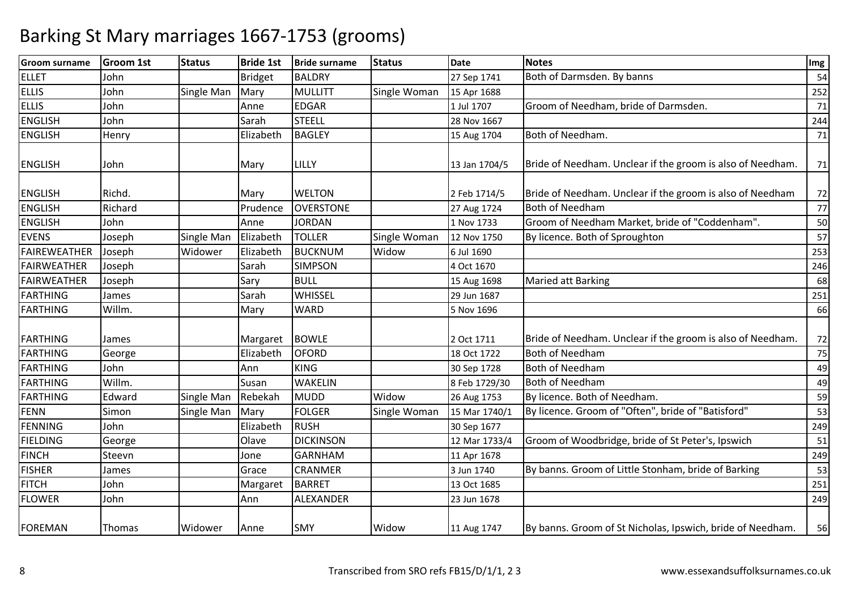| <b>Groom surname</b> | <b>Groom 1st</b> | <b>Status</b> | <b>Bride 1st</b> | <b>Bride surname</b> | <b>Status</b> | <b>Date</b>   | <b>Notes</b>                                               | Img |
|----------------------|------------------|---------------|------------------|----------------------|---------------|---------------|------------------------------------------------------------|-----|
| <b>ELLET</b>         | John             |               | <b>Bridget</b>   | <b>BALDRY</b>        |               | 27 Sep 1741   | Both of Darmsden. By banns                                 | 54  |
| <b>ELLIS</b>         | John             | Single Man    | Mary             | MULLITT              | Single Woman  | 15 Apr 1688   |                                                            | 252 |
| <b>ELLIS</b>         | John             |               | Anne             | <b>EDGAR</b>         |               | 1 Jul 1707    | Groom of Needham, bride of Darmsden.                       | 71  |
| <b>ENGLISH</b>       | John             |               | Sarah            | <b>STEELL</b>        |               | 28 Nov 1667   |                                                            | 244 |
| <b>ENGLISH</b>       | Henry            |               | Elizabeth        | <b>BAGLEY</b>        |               | 15 Aug 1704   | Both of Needham.                                           | 71  |
| <b>ENGLISH</b>       | John             |               | Mary             | LILLY                |               | 13 Jan 1704/5 | Bride of Needham. Unclear if the groom is also of Needham. | 71  |
| <b>ENGLISH</b>       | Richd.           |               | Mary             | <b>WELTON</b>        |               | 2 Feb 1714/5  | Bride of Needham. Unclear if the groom is also of Needham  | 72  |
| <b>ENGLISH</b>       | Richard          |               | Prudence         | <b>OVERSTONE</b>     |               | 27 Aug 1724   | <b>Both of Needham</b>                                     | 77  |
| <b>ENGLISH</b>       | John             |               | Anne             | <b>JORDAN</b>        |               | 1 Nov 1733    | Groom of Needham Market, bride of "Coddenham".             | 50  |
| <b>EVENS</b>         | Joseph           | Single Man    | Elizabeth        | <b>TOLLER</b>        | Single Woman  | 12 Nov 1750   | By licence. Both of Sproughton                             | 57  |
| FAIREWEATHER         | Joseph           | Widower       | Elizabeth        | <b>BUCKNUM</b>       | Widow         | 6 Jul 1690    |                                                            | 253 |
| FAIRWEATHER          | Joseph           |               | Sarah            | <b>SIMPSON</b>       |               | 4 Oct 1670    |                                                            | 246 |
| FAIRWEATHER          | Joseph           |               | Sary             | <b>BULL</b>          |               | 15 Aug 1698   | Maried att Barking                                         | 68  |
| <b>FARTHING</b>      | James            |               | Sarah            | WHISSEL              |               | 29 Jun 1687   |                                                            | 251 |
| FARTHING             | Willm.           |               | Mary             | <b>WARD</b>          |               | 5 Nov 1696    |                                                            | 66  |
| FARTHING             | James            |               | Margaret         | <b>BOWLE</b>         |               | 2 Oct 1711    | Bride of Needham. Unclear if the groom is also of Needham. | 72  |
| FARTHING             | George           |               | Elizabeth        | <b>OFORD</b>         |               | 18 Oct 1722   | <b>Both of Needham</b>                                     | 75  |
| FARTHING             | John             |               | Ann              | <b>KING</b>          |               | 30 Sep 1728   | <b>Both of Needham</b>                                     | 49  |
| FARTHING             | Willm.           |               | Susan            | <b>WAKELIN</b>       |               | 8 Feb 1729/30 | <b>Both of Needham</b>                                     | 49  |
| <b>FARTHING</b>      | Edward           | Single Man    | Rebekah          | <b>MUDD</b>          | Widow         | 26 Aug 1753   | By licence. Both of Needham.                               | 59  |
| FENN                 | Simon            | Single Man    | Mary             | <b>FOLGER</b>        | Single Woman  | 15 Mar 1740/1 | By licence. Groom of "Often", bride of "Batisford"         | 53  |
| FENNING              | John             |               | Elizabeth        | <b>RUSH</b>          |               | 30 Sep 1677   |                                                            | 249 |
| <b>FIELDING</b>      | George           |               | Olave            | <b>DICKINSON</b>     |               | 12 Mar 1733/4 | Groom of Woodbridge, bride of St Peter's, Ipswich          | 51  |
| <b>FINCH</b>         | Steevn           |               | Jone             | <b>GARNHAM</b>       |               | 11 Apr 1678   |                                                            | 249 |
| <b>FISHER</b>        | James            |               | Grace            | <b>CRANMER</b>       |               | 3 Jun 1740    | By banns. Groom of Little Stonham, bride of Barking        | 53  |
| <b>FITCH</b>         | John             |               | Margaret         | <b>BARRET</b>        |               | 13 Oct 1685   |                                                            | 251 |
| <b>FLOWER</b>        | John             |               | Ann              | ALEXANDER            |               | 23 Jun 1678   |                                                            | 249 |
| <b>FOREMAN</b>       | Thomas           | Widower       | Anne             | <b>SMY</b>           | Widow         | 11 Aug 1747   | By banns. Groom of St Nicholas, Ipswich, bride of Needham. | 56  |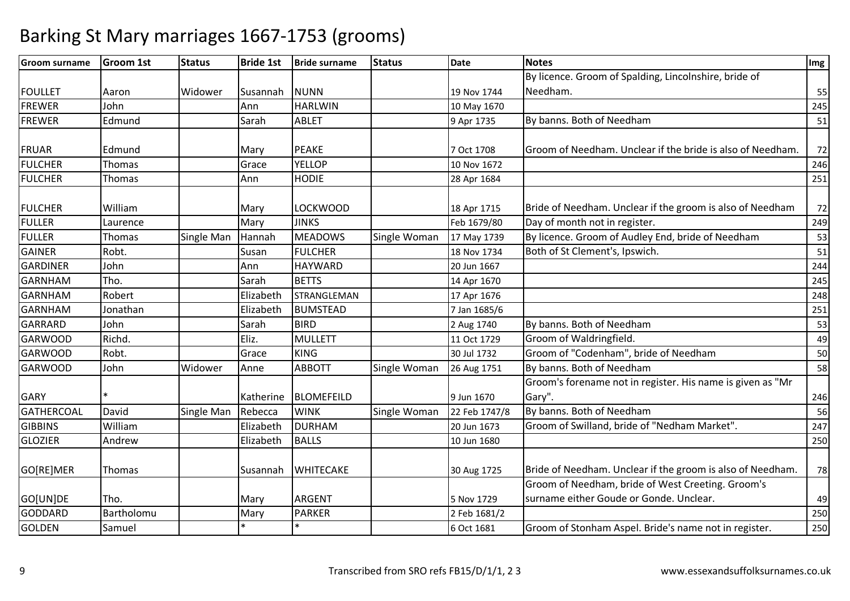| <b>Groom surname</b> | Groom 1st  | <b>Status</b> | <b>Bride 1st</b> | <b>Bride surname</b> | <b>Status</b> | <b>Date</b>   | <b>Notes</b>                                               | Img |
|----------------------|------------|---------------|------------------|----------------------|---------------|---------------|------------------------------------------------------------|-----|
|                      |            |               |                  |                      |               |               | By licence. Groom of Spalding, Lincolnshire, bride of      |     |
| <b>FOULLET</b>       | Aaron      | Widower       | Susannah         | <b>NUNN</b>          |               | 19 Nov 1744   | Needham.                                                   | 55  |
| <b>FREWER</b>        | John       |               | Ann              | <b>HARLWIN</b>       |               | 10 May 1670   |                                                            | 245 |
| <b>FREWER</b>        | Edmund     |               | Sarah            | <b>ABLET</b>         |               | 9 Apr 1735    | By banns. Both of Needham                                  | 51  |
|                      |            |               |                  |                      |               |               |                                                            |     |
| <b>FRUAR</b>         | Edmund     |               | Mary             | <b>PEAKE</b>         |               | 7 Oct 1708    | Groom of Needham. Unclear if the bride is also of Needham. | 72  |
| <b>FULCHER</b>       | Thomas     |               | Grace            | <b>YELLOP</b>        |               | 10 Nov 1672   |                                                            | 246 |
| <b>FULCHER</b>       | Thomas     |               | Ann              | <b>HODIE</b>         |               | 28 Apr 1684   |                                                            | 251 |
| <b>FULCHER</b>       | William    |               | Mary             | LOCKWOOD             |               | 18 Apr 1715   | Bride of Needham. Unclear if the groom is also of Needham  | 72  |
| <b>FULLER</b>        | Laurence   |               | Mary             | <b>JINKS</b>         |               | Feb 1679/80   | Day of month not in register.                              | 249 |
| <b>FULLER</b>        | Thomas     | Single Man    | Hannah           | <b>MEADOWS</b>       | Single Woman  | 17 May 1739   | By licence. Groom of Audley End, bride of Needham          | 53  |
| <b>GAINER</b>        | Robt.      |               | Susan            | <b>FULCHER</b>       |               | 18 Nov 1734   | Both of St Clement's, Ipswich.                             | 51  |
| <b>GARDINER</b>      | John       |               | Ann              | <b>HAYWARD</b>       |               | 20 Jun 1667   |                                                            | 244 |
| <b>GARNHAM</b>       | Tho.       |               | Sarah            | <b>BETTS</b>         |               | 14 Apr 1670   |                                                            | 245 |
| <b>GARNHAM</b>       | Robert     |               | Elizabeth        | STRANGLEMAN          |               | 17 Apr 1676   |                                                            | 248 |
| <b>GARNHAM</b>       | Jonathan   |               | Elizabeth        | <b>BUMSTEAD</b>      |               | 7 Jan 1685/6  |                                                            | 251 |
| <b>GARRARD</b>       | John       |               | Sarah            | <b>BIRD</b>          |               | 2 Aug 1740    | By banns. Both of Needham                                  | 53  |
| <b>GARWOOD</b>       | Richd.     |               | Eliz.            | <b>MULLETT</b>       |               | 11 Oct 1729   | Groom of Waldringfield.                                    | 49  |
| <b>GARWOOD</b>       | Robt.      |               | Grace            | <b>KING</b>          |               | 30 Jul 1732   | Groom of "Codenham", bride of Needham                      | 50  |
| <b>GARWOOD</b>       | John       | Widower       | Anne             | <b>ABBOTT</b>        | Single Woman  | 26 Aug 1751   | By banns. Both of Needham                                  | 58  |
|                      |            |               |                  |                      |               |               | Groom's forename not in register. His name is given as "Mr |     |
| <b>GARY</b>          | $\ast$     |               | Katherine        | BLOMEFEILD           |               | 9 Jun 1670    | Gary".                                                     | 246 |
| <b>GATHERCOAL</b>    | David      | Single Man    | Rebecca          | <b>WINK</b>          | Single Woman  | 22 Feb 1747/8 | By banns. Both of Needham                                  | 56  |
| <b>GIBBINS</b>       | William    |               | Elizabeth        | <b>DURHAM</b>        |               | 20 Jun 1673   | Groom of Swilland, bride of "Nedham Market".               | 247 |
| <b>GLOZIER</b>       | Andrew     |               | Elizabeth        | <b>BALLS</b>         |               | 10 Jun 1680   |                                                            | 250 |
| GO[RE]MER            | Thomas     |               | Susannah         | <b>WHITECAKE</b>     |               | 30 Aug 1725   | Bride of Needham. Unclear if the groom is also of Needham. | 78  |
|                      |            |               |                  |                      |               |               | Groom of Needham, bride of West Creeting. Groom's          |     |
| GO[UN]DE             | Tho.       |               | Mary             | <b>ARGENT</b>        |               | 5 Nov 1729    | surname either Goude or Gonde. Unclear.                    | 49  |
| <b>GODDARD</b>       | Bartholomu |               | Mary             | <b>PARKER</b>        |               | 2 Feb 1681/2  |                                                            | 250 |
| <b>GOLDEN</b>        | Samuel     |               |                  |                      |               | 6 Oct 1681    | Groom of Stonham Aspel. Bride's name not in register.      | 250 |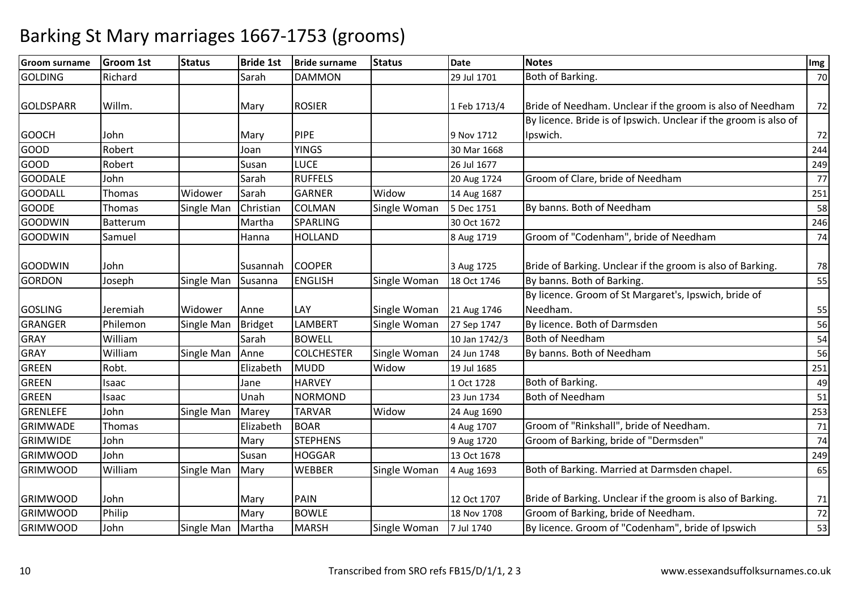| <b>Groom surname</b> | <b>Groom 1st</b> | <b>Status</b>     | <b>Bride 1st</b> | <b>Bride surname</b> | <b>Status</b> | <b>Date</b>   | <b>Notes</b>                                                     | Img    |
|----------------------|------------------|-------------------|------------------|----------------------|---------------|---------------|------------------------------------------------------------------|--------|
| <b>GOLDING</b>       | Richard          |                   | Sarah            | <b>DAMMON</b>        |               | 29 Jul 1701   | Both of Barking.                                                 | 70     |
| <b>GOLDSPARR</b>     | Willm.           |                   | Mary             | <b>ROSIER</b>        |               | 1 Feb 1713/4  | Bride of Needham. Unclear if the groom is also of Needham        | 72     |
|                      |                  |                   |                  |                      |               |               | By licence. Bride is of Ipswich. Unclear if the groom is also of |        |
| <b>GOOCH</b>         | John             |                   | Mary             | <b>PIPE</b>          |               | 9 Nov 1712    | Ipswich.                                                         | $72\,$ |
| <b>GOOD</b>          | Robert           |                   | Joan             | <b>YINGS</b>         |               | 30 Mar 1668   |                                                                  | 244    |
| <b>GOOD</b>          | Robert           |                   | Susan            | <b>LUCE</b>          |               | 26 Jul 1677   |                                                                  | 249    |
| <b>GOODALE</b>       | John             |                   | Sarah            | <b>RUFFELS</b>       |               | 20 Aug 1724   | Groom of Clare, bride of Needham                                 | 77     |
| <b>GOODALL</b>       | Thomas           | Widower           | Sarah            | <b>GARNER</b>        | Widow         | 14 Aug 1687   |                                                                  | 251    |
| <b>GOODE</b>         | Thomas           | Single Man        | Christian        | <b>COLMAN</b>        | Single Woman  | 5 Dec 1751    | By banns. Both of Needham                                        | 58     |
| <b>GOODWIN</b>       | <b>Batterum</b>  |                   | Martha           | <b>SPARLING</b>      |               | 30 Oct 1672   |                                                                  | 246    |
| <b>GOODWIN</b>       | Samuel           |                   | Hanna            | <b>HOLLAND</b>       |               | 8 Aug 1719    | Groom of "Codenham", bride of Needham                            | 74     |
| <b>GOODWIN</b>       | John             |                   | Susannah         | <b>COOPER</b>        |               | 3 Aug 1725    | Bride of Barking. Unclear if the groom is also of Barking.       | 78     |
| <b>GORDON</b>        | Joseph           | Single Man        | Susanna          | <b>ENGLISH</b>       | Single Woman  | 18 Oct 1746   | By banns. Both of Barking.                                       | 55     |
|                      |                  |                   |                  |                      |               |               | By licence. Groom of St Margaret's, Ipswich, bride of            |        |
| <b>GOSLING</b>       | Jeremiah         | Widower           | Anne             | LAY                  | Single Woman  | 21 Aug 1746   | Needham.                                                         | 55     |
| <b>GRANGER</b>       | Philemon         | Single Man        | Bridget          | LAMBERT              | Single Woman  | 27 Sep 1747   | By licence. Both of Darmsden                                     | 56     |
| <b>GRAY</b>          | William          |                   | Sarah            | <b>BOWELL</b>        |               | 10 Jan 1742/3 | <b>Both of Needham</b>                                           | 54     |
| <b>GRAY</b>          | William          | Single Man        | Anne             | <b>COLCHESTER</b>    | Single Woman  | 24 Jun 1748   | By banns. Both of Needham                                        | 56     |
| <b>GREEN</b>         | Robt.            |                   | Elizabeth        | <b>MUDD</b>          | Widow         | 19 Jul 1685   |                                                                  | 251    |
| <b>GREEN</b>         | Isaac            |                   | Jane             | <b>HARVEY</b>        |               | 1 Oct 1728    | Both of Barking.                                                 | 49     |
| <b>GREEN</b>         | Isaac            |                   | Unah             | <b>NORMOND</b>       |               | 23 Jun 1734   | <b>Both of Needham</b>                                           | 51     |
| <b>GRENLEFE</b>      | John             | Single Man        | Marey            | <b>TARVAR</b>        | Widow         | 24 Aug 1690   |                                                                  | 253    |
| <b>GRIMWADE</b>      | Thomas           |                   | Elizabeth        | <b>BOAR</b>          |               | 4 Aug 1707    | Groom of "Rinkshall", bride of Needham.                          | $71\,$ |
| <b>GRIMWIDE</b>      | John             |                   | Mary             | <b>STEPHENS</b>      |               | 9 Aug 1720    | Groom of Barking, bride of "Dermsden"                            | 74     |
| <b>GRIMWOOD</b>      | John             |                   | Susan            | <b>HOGGAR</b>        |               | 13 Oct 1678   |                                                                  | 249    |
| <b>GRIMWOOD</b>      | William          | Single Man        | Mary             | <b>WEBBER</b>        | Single Woman  | 4 Aug 1693    | Both of Barking. Married at Darmsden chapel.                     | 65     |
| <b>GRIMWOOD</b>      | John             |                   | Mary             | <b>PAIN</b>          |               | 12 Oct 1707   | Bride of Barking. Unclear if the groom is also of Barking.       | 71     |
| <b>GRIMWOOD</b>      | Philip           |                   | Mary             | <b>BOWLE</b>         |               | 18 Nov 1708   | Groom of Barking, bride of Needham.                              | 72     |
| <b>GRIMWOOD</b>      | John             | Single Man Martha |                  | <b>MARSH</b>         | Single Woman  | 7 Jul 1740    | By licence. Groom of "Codenham", bride of Ipswich                | 53     |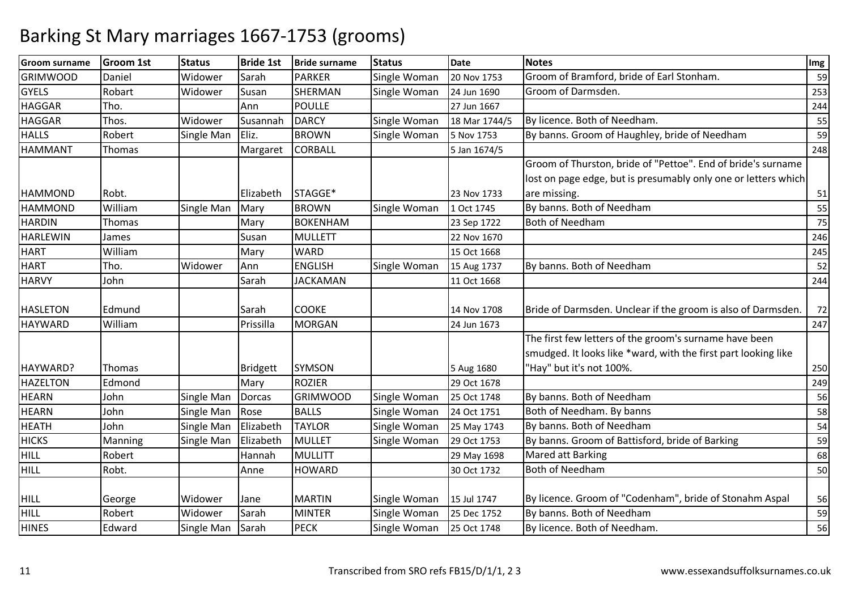| <b>Groom surname</b> | <b>Groom 1st</b> | <b>Status</b>     | <b>Bride 1st</b> | <b>Bride surname</b> | <b>Status</b> | <b>Date</b>   | <b>Notes</b>                                                   | Img |
|----------------------|------------------|-------------------|------------------|----------------------|---------------|---------------|----------------------------------------------------------------|-----|
| <b>GRIMWOOD</b>      | Daniel           | Widower           | Sarah            | <b>PARKER</b>        | Single Woman  | 20 Nov 1753   | Groom of Bramford, bride of Earl Stonham.                      | 59  |
| <b>GYELS</b>         | Robart           | Widower           | Susan            | <b>SHERMAN</b>       | Single Woman  | 24 Jun 1690   | Groom of Darmsden.                                             | 253 |
| <b>HAGGAR</b>        | Tho.             |                   | Ann              | <b>POULLE</b>        |               | 27 Jun 1667   |                                                                | 244 |
| <b>HAGGAR</b>        | Thos.            | Widower           | Susannah         | <b>DARCY</b>         | Single Woman  | 18 Mar 1744/5 | By licence. Both of Needham.                                   | 55  |
| <b>HALLS</b>         | Robert           | Single Man        | Eliz.            | <b>BROWN</b>         | Single Woman  | 5 Nov 1753    | By banns. Groom of Haughley, bride of Needham                  | 59  |
| <b>HAMMANT</b>       | Thomas           |                   | Margaret         | <b>CORBALL</b>       |               | 5 Jan 1674/5  |                                                                | 248 |
|                      |                  |                   |                  |                      |               |               | Groom of Thurston, bride of "Pettoe". End of bride's surname   |     |
|                      |                  |                   |                  |                      |               |               | lost on page edge, but is presumably only one or letters which |     |
| <b>HAMMOND</b>       | Robt.            |                   | Elizabeth        | STAGGE*              |               | 23 Nov 1733   | are missing.                                                   | 51  |
| <b>HAMMOND</b>       | William          | <b>Single Man</b> | Mary             | <b>BROWN</b>         | Single Woman  | 1 Oct 1745    | By banns. Both of Needham                                      | 55  |
| <b>HARDIN</b>        | Thomas           |                   | Mary             | <b>BOKENHAM</b>      |               | 23 Sep 1722   | <b>Both of Needham</b>                                         | 75  |
| <b>HARLEWIN</b>      | James            |                   | Susan            | <b>MULLETT</b>       |               | 22 Nov 1670   |                                                                | 246 |
| <b>HART</b>          | William          |                   | Mary             | <b>WARD</b>          |               | 15 Oct 1668   |                                                                | 245 |
| <b>HART</b>          | Tho.             | Widower           | Ann              | <b>ENGLISH</b>       | Single Woman  | 15 Aug 1737   | By banns. Both of Needham                                      | 52  |
| <b>HARVY</b>         | John             |                   | Sarah            | <b>JACKAMAN</b>      |               | 11 Oct 1668   |                                                                | 244 |
| <b>HASLETON</b>      | Edmund           |                   | Sarah            | <b>COOKE</b>         |               | 14 Nov 1708   | Bride of Darmsden. Unclear if the groom is also of Darmsden.   | 72  |
| <b>HAYWARD</b>       | William          |                   | Prissilla        | <b>MORGAN</b>        |               | 24 Jun 1673   |                                                                | 247 |
|                      |                  |                   |                  |                      |               |               | The first few letters of the groom's surname have been         |     |
|                      |                  |                   |                  |                      |               |               | smudged. It looks like *ward, with the first part looking like |     |
| HAYWARD?             | Thomas           |                   | Bridgett         | <b>SYMSON</b>        |               | 5 Aug 1680    | "Hay" but it's not 100%.                                       | 250 |
| <b>HAZELTON</b>      | Edmond           |                   | Mary             | <b>ROZIER</b>        |               | 29 Oct 1678   |                                                                | 249 |
| <b>HEARN</b>         | John             | Single Man        | Dorcas           | <b>GRIMWOOD</b>      | Single Woman  | 25 Oct 1748   | By banns. Both of Needham                                      | 56  |
| <b>HEARN</b>         | John             | Single Man        | Rose             | <b>BALLS</b>         | Single Woman  | 24 Oct 1751   | Both of Needham. By banns                                      | 58  |
| <b>HEATH</b>         | John             | Single Man        | Elizabeth        | <b>TAYLOR</b>        | Single Woman  | 25 May 1743   | By banns. Both of Needham                                      | 54  |
| <b>HICKS</b>         | Manning          | Single Man        | Elizabeth        | <b>MULLET</b>        | Single Woman  | 29 Oct 1753   | By banns. Groom of Battisford, bride of Barking                | 59  |
| <b>HILL</b>          | Robert           |                   | Hannah           | <b>MULLITT</b>       |               | 29 May 1698   | Mared att Barking                                              | 68  |
| <b>HILL</b>          | Robt.            |                   | Anne             | <b>HOWARD</b>        |               | 30 Oct 1732   | <b>Both of Needham</b>                                         | 50  |
|                      |                  |                   |                  |                      |               |               |                                                                |     |
| <b>HILL</b>          | George           | Widower           | Jane             | <b>MARTIN</b>        | Single Woman  | 15 Jul 1747   | By licence. Groom of "Codenham", bride of Stonahm Aspal        | 56  |
| HILL                 | Robert           | Widower           | Sarah            | <b>MINTER</b>        | Single Woman  | 25 Dec 1752   | By banns. Both of Needham                                      | 59  |
| <b>HINES</b>         | Edward           | Single Man        | Sarah            | <b>PECK</b>          | Single Woman  | 25 Oct 1748   | By licence. Both of Needham.                                   | 56  |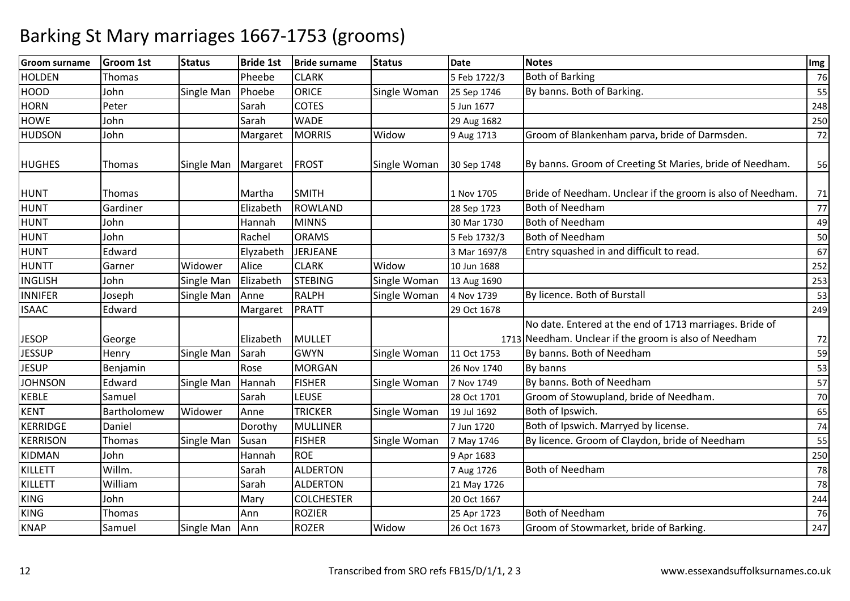| <b>Groom surname</b> | <b>Groom 1st</b> | <b>Status</b> | <b>Bride 1st</b> | <b>Bride surname</b> | <b>Status</b> | <b>Date</b>  | <b>Notes</b>                                               | Img |
|----------------------|------------------|---------------|------------------|----------------------|---------------|--------------|------------------------------------------------------------|-----|
| <b>HOLDEN</b>        | Thomas           |               | Pheebe           | <b>CLARK</b>         |               | 5 Feb 1722/3 | <b>Both of Barking</b>                                     | 76  |
| <b>HOOD</b>          | John             | Single Man    | Phoebe           | <b>ORICE</b>         | Single Woman  | 25 Sep 1746  | By banns. Both of Barking.                                 | 55  |
| <b>HORN</b>          | Peter            |               | Sarah            | <b>COTES</b>         |               | 5 Jun 1677   |                                                            | 248 |
| <b>HOWE</b>          | John             |               | Sarah            | <b>WADE</b>          |               | 29 Aug 1682  |                                                            | 250 |
| <b>HUDSON</b>        | John             |               | Margaret         | <b>MORRIS</b>        | Widow         | 9 Aug 1713   | Groom of Blankenham parva, bride of Darmsden.              | 72  |
| <b>HUGHES</b>        | Thomas           | Single Man    | Margaret         | <b>FROST</b>         | Single Woman  | 30 Sep 1748  | By banns. Groom of Creeting St Maries, bride of Needham.   | 56  |
| <b>HUNT</b>          | Thomas           |               | Martha           | <b>SMITH</b>         |               | 1 Nov 1705   | Bride of Needham. Unclear if the groom is also of Needham. | 71  |
| <b>HUNT</b>          | Gardiner         |               | Elizabeth        | <b>ROWLAND</b>       |               | 28 Sep 1723  | <b>Both of Needham</b>                                     | 77  |
| <b>HUNT</b>          | John             |               | Hannah           | <b>MINNS</b>         |               | 30 Mar 1730  | <b>Both of Needham</b>                                     | 49  |
| <b>HUNT</b>          | John             |               | Rachel           | <b>ORAMS</b>         |               | 5 Feb 1732/3 | <b>Both of Needham</b>                                     | 50  |
| <b>HUNT</b>          | Edward           |               | Elyzabeth        | JERJEANE             |               | 3 Mar 1697/8 | Entry squashed in and difficult to read.                   | 67  |
| <b>HUNTT</b>         | Garner           | Widower       | Alice            | <b>CLARK</b>         | Widow         | 10 Jun 1688  |                                                            | 252 |
| <b>INGLISH</b>       | John             | Single Man    | Elizabeth        | <b>STEBING</b>       | Single Woman  | 13 Aug 1690  |                                                            | 253 |
| <b>INNIFER</b>       | Joseph           | Single Man    | Anne             | <b>RALPH</b>         | Single Woman  | 4 Nov 1739   | By licence. Both of Burstall                               | 53  |
| <b>ISAAC</b>         | Edward           |               | Margaret         | <b>PRATT</b>         |               | 29 Oct 1678  |                                                            | 249 |
|                      |                  |               |                  |                      |               |              | No date. Entered at the end of 1713 marriages. Bride of    |     |
| <b>JESOP</b>         | George           |               | Elizabeth        | <b>MULLET</b>        |               |              | 1713 Needham. Unclear if the groom is also of Needham      | 72  |
| <b>JESSUP</b>        | Henry            | Single Man    | Sarah            | <b>GWYN</b>          | Single Woman  | 11 Oct 1753  | By banns. Both of Needham                                  | 59  |
| <b>JESUP</b>         | Benjamin         |               | Rose             | <b>MORGAN</b>        |               | 26 Nov 1740  | By banns                                                   | 53  |
| <b>JOHNSON</b>       | Edward           | Single Man    | Hannah           | <b>FISHER</b>        | Single Woman  | 7 Nov 1749   | By banns. Both of Needham                                  | 57  |
| <b>KEBLE</b>         | Samuel           |               | Sarah            | <b>LEUSE</b>         |               | 28 Oct 1701  | Groom of Stowupland, bride of Needham.                     | 70  |
| <b>KENT</b>          | Bartholomew      | Widower       | Anne             | <b>TRICKER</b>       | Single Woman  | 19 Jul 1692  | Both of Ipswich.                                           | 65  |
| <b>KERRIDGE</b>      | Daniel           |               | Dorothy          | <b>MULLINER</b>      |               | 7 Jun 1720   | Both of Ipswich. Marryed by license.                       | 74  |
| <b>KERRISON</b>      | Thomas           | Single Man    | Susan            | <b>FISHER</b>        | Single Woman  | 7 May 1746   | By licence. Groom of Claydon, bride of Needham             | 55  |
| <b>KIDMAN</b>        | John             |               | Hannah           | <b>ROE</b>           |               | 9 Apr 1683   |                                                            | 250 |
| <b>KILLETT</b>       | Willm.           |               | Sarah            | <b>ALDERTON</b>      |               | 7 Aug 1726   | <b>Both of Needham</b>                                     | 78  |
| <b>KILLETT</b>       | William          |               | Sarah            | <b>ALDERTON</b>      |               | 21 May 1726  |                                                            | 78  |
| <b>KING</b>          | John             |               | Mary             | <b>COLCHESTER</b>    |               | 20 Oct 1667  |                                                            | 244 |
| <b>KING</b>          | Thomas           |               | Ann              | <b>ROZIER</b>        |               | 25 Apr 1723  | <b>Both of Needham</b>                                     | 76  |
| <b>KNAP</b>          | Samuel           | Single Man    | Ann              | <b>ROZER</b>         | Widow         | 26 Oct 1673  | Groom of Stowmarket, bride of Barking.                     | 247 |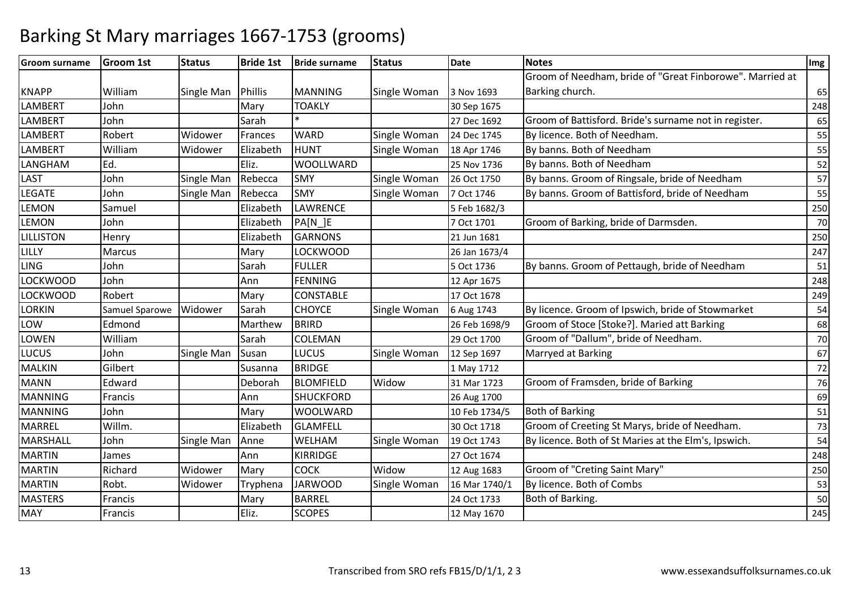| <b>Groom surname</b> | <b>Groom 1st</b> | <b>Status</b> | <b>Bride 1st</b> | <b>Bride surname</b> | <b>Status</b> | <b>Date</b>   | <b>Notes</b>                                             | Img |
|----------------------|------------------|---------------|------------------|----------------------|---------------|---------------|----------------------------------------------------------|-----|
|                      |                  |               |                  |                      |               |               | Groom of Needham, bride of "Great Finborowe". Married at |     |
| <b>KNAPP</b>         | William          | Single Man    | Phillis          | <b>MANNING</b>       | Single Woman  | 3 Nov 1693    | Barking church.                                          | 65  |
| <b>LAMBERT</b>       | John             |               | Mary             | <b>TOAKLY</b>        |               | 30 Sep 1675   |                                                          | 248 |
| <b>LAMBERT</b>       | John             |               | Sarah            |                      |               | 27 Dec 1692   | Groom of Battisford. Bride's surname not in register.    | 65  |
| <b>LAMBERT</b>       | Robert           | Widower       | Frances          | <b>WARD</b>          | Single Woman  | 24 Dec 1745   | By licence. Both of Needham.                             | 55  |
| <b>LAMBERT</b>       | William          | Widower       | Elizabeth        | <b>HUNT</b>          | Single Woman  | 18 Apr 1746   | By banns. Both of Needham                                | 55  |
| LANGHAM              | Ed.              |               | Eliz.            | <b>WOOLLWARD</b>     |               | 25 Nov 1736   | By banns. Both of Needham                                | 52  |
| LAST                 | John             | Single Man    | Rebecca          | <b>SMY</b>           | Single Woman  | 26 Oct 1750   | By banns. Groom of Ringsale, bride of Needham            | 57  |
| <b>LEGATE</b>        | John             | Single Man    | Rebecca          | <b>SMY</b>           | Single Woman  | 7 Oct 1746    | By banns. Groom of Battisford, bride of Needham          | 55  |
| <b>LEMON</b>         | Samuel           |               | Elizabeth        | LAWRENCE             |               | 5 Feb 1682/3  |                                                          | 250 |
| <b>LEMON</b>         | John             |               | Elizabeth        | PA[N_]E              |               | 7 Oct 1701    | Groom of Barking, bride of Darmsden.                     | 70  |
| <b>LILLISTON</b>     | Henry            |               | Elizabeth        | <b>GARNONS</b>       |               | 21 Jun 1681   |                                                          | 250 |
| LILLY                | Marcus           |               | Mary             | LOCKWOOD             |               | 26 Jan 1673/4 |                                                          | 247 |
| <b>LING</b>          | John             |               | Sarah            | <b>FULLER</b>        |               | 5 Oct 1736    | By banns. Groom of Pettaugh, bride of Needham            | 51  |
| <b>LOCKWOOD</b>      | John             |               | Ann              | <b>FENNING</b>       |               | 12 Apr 1675   |                                                          | 248 |
| <b>LOCKWOOD</b>      | Robert           |               | Mary             | <b>CONSTABLE</b>     |               | 17 Oct 1678   |                                                          | 249 |
| <b>LORKIN</b>        | Samuel Sparowe   | Widower       | Sarah            | <b>CHOYCE</b>        | Single Woman  | 6 Aug 1743    | By licence. Groom of Ipswich, bride of Stowmarket        | 54  |
| LOW                  | Edmond           |               | Marthew          | <b>BRIRD</b>         |               | 26 Feb 1698/9 | Groom of Stoce [Stoke?]. Maried att Barking              | 68  |
| <b>LOWEN</b>         | William          |               | Sarah            | COLEMAN              |               | 29 Oct 1700   | Groom of "Dallum", bride of Needham.                     | 70  |
| LUCUS                | John             | Single Man    | Susan            | LUCUS                | Single Woman  | 12 Sep 1697   | Marryed at Barking                                       | 67  |
| <b>MALKIN</b>        | Gilbert          |               | Susanna          | <b>BRIDGE</b>        |               | 1 May 1712    |                                                          | 72  |
| <b>MANN</b>          | Edward           |               | Deborah          | <b>BLOMFIELD</b>     | Widow         | 31 Mar 1723   | Groom of Framsden, bride of Barking                      | 76  |
| <b>MANNING</b>       | Francis          |               | Ann              | <b>SHUCKFORD</b>     |               | 26 Aug 1700   |                                                          | 69  |
| <b>MANNING</b>       | John             |               | Mary             | <b>WOOLWARD</b>      |               | 10 Feb 1734/5 | <b>Both of Barking</b>                                   | 51  |
| <b>MARREL</b>        | Willm.           |               | Elizabeth        | <b>GLAMFELL</b>      |               | 30 Oct 1718   | Groom of Creeting St Marys, bride of Needham.            | 73  |
| <b>MARSHALL</b>      | John             | Single Man    | Anne             | WELHAM               | Single Woman  | 19 Oct 1743   | By licence. Both of St Maries at the Elm's, Ipswich.     | 54  |
| <b>MARTIN</b>        | James            |               | Ann              | KIRRIDGE             |               | 27 Oct 1674   |                                                          | 248 |
| <b>MARTIN</b>        | Richard          | Widower       | Mary             | <b>COCK</b>          | Widow         | 12 Aug 1683   | Groom of "Creting Saint Mary"                            | 250 |
| <b>MARTIN</b>        | Robt.            | Widower       | Tryphena         | <b>JARWOOD</b>       | Single Woman  | 16 Mar 1740/1 | By licence. Both of Combs                                | 53  |
| <b>MASTERS</b>       | Francis          |               | Mary             | <b>BARREL</b>        |               | 24 Oct 1733   | Both of Barking.                                         | 50  |
| <b>MAY</b>           | Francis          |               | Eliz.            | <b>SCOPES</b>        |               | 12 May 1670   |                                                          | 245 |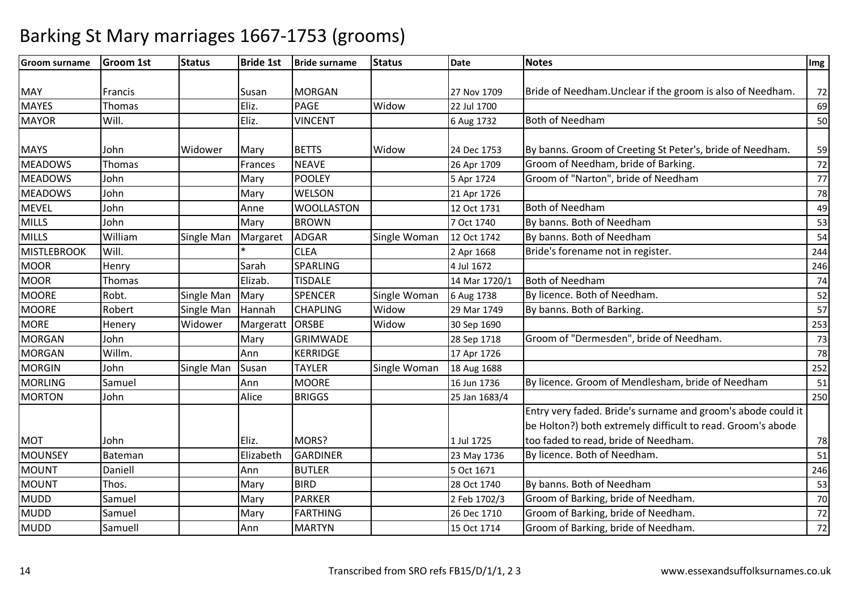| <b>Groom surname</b> | <b>Groom 1st</b> | <b>Status</b> | <b>Bride 1st</b> | <b>Bride surname</b> | <b>Status</b> | <b>Date</b>   | <b>Notes</b>                                                 | Img |
|----------------------|------------------|---------------|------------------|----------------------|---------------|---------------|--------------------------------------------------------------|-----|
|                      |                  |               |                  |                      |               |               |                                                              |     |
| <b>MAY</b>           | Francis          |               | Susan            | <b>MORGAN</b>        |               | 27 Nov 1709   | Bride of Needham. Unclear if the groom is also of Needham.   | 72  |
| <b>MAYES</b>         | Thomas           |               | Eliz.            | PAGE                 | Widow         | 22 Jul 1700   |                                                              | 69  |
| <b>MAYOR</b>         | Will.            |               | Eliz.            | <b>VINCENT</b>       |               | 6 Aug 1732    | <b>Both of Needham</b>                                       | 50  |
|                      |                  |               |                  |                      |               |               |                                                              |     |
| <b>MAYS</b>          | John             | Widower       | Mary             | <b>BETTS</b>         | Widow         | 24 Dec 1753   | By banns. Groom of Creeting St Peter's, bride of Needham.    | 59  |
| <b>MEADOWS</b>       | Thomas           |               | Frances          | <b>NEAVE</b>         |               | 26 Apr 1709   | Groom of Needham, bride of Barking.                          | 72  |
| <b>MEADOWS</b>       | John             |               | Mary             | POOLEY               |               | 5 Apr 1724    | Groom of "Narton", bride of Needham                          | 77  |
| <b>MEADOWS</b>       | John             |               | Mary             | <b>WELSON</b>        |               | 21 Apr 1726   |                                                              | 78  |
| <b>MEVEL</b>         | John             |               | Anne             | <b>WOOLLASTON</b>    |               | 12 Oct 1731   | <b>Both of Needham</b>                                       | 49  |
| <b>MILLS</b>         | John             |               | Mary             | <b>BROWN</b>         |               | 7 Oct 1740    | By banns. Both of Needham                                    | 53  |
| <b>MILLS</b>         | William          | Single Man    | Margaret         | <b>ADGAR</b>         | Single Woman  | 12 Oct 1742   | By banns. Both of Needham                                    | 54  |
| MISTLEBROOK          | Will.            |               |                  | <b>CLEA</b>          |               | 2 Apr 1668    | Bride's forename not in register.                            | 244 |
| <b>MOOR</b>          | Henry            |               | Sarah            | <b>SPARLING</b>      |               | 4 Jul 1672    |                                                              | 246 |
| <b>MOOR</b>          | Thomas           |               | Elizab.          | <b>TISDALE</b>       |               | 14 Mar 1720/1 | <b>Both of Needham</b>                                       | 74  |
| <b>MOORE</b>         | Robt.            | Single Man    | Mary             | <b>SPENCER</b>       | Single Woman  | 6 Aug 1738    | By licence. Both of Needham.                                 | 52  |
| <b>MOORE</b>         | Robert           | Single Man    | Hannah           | <b>CHAPLING</b>      | Widow         | 29 Mar 1749   | By banns. Both of Barking.                                   | 57  |
| <b>MORE</b>          | Henery           | Widower       | Margeratt        | <b>ORSBE</b>         | Widow         | 30 Sep 1690   |                                                              | 253 |
| <b>MORGAN</b>        | John             |               | Mary             | <b>GRIMWADE</b>      |               | 28 Sep 1718   | Groom of "Dermesden", bride of Needham.                      | 73  |
| <b>MORGAN</b>        | Willm.           |               | Ann              | <b>KERRIDGE</b>      |               | 17 Apr 1726   |                                                              | 78  |
| <b>MORGIN</b>        | John             | Single Man    | Susan            | <b>TAYLER</b>        | Single Woman  | 18 Aug 1688   |                                                              | 252 |
| <b>MORLING</b>       | Samuel           |               | Ann              | <b>MOORE</b>         |               | 16 Jun 1736   | By licence. Groom of Mendlesham, bride of Needham            | 51  |
| <b>MORTON</b>        | John             |               | Alice            | <b>BRIGGS</b>        |               | 25 Jan 1683/4 |                                                              | 250 |
|                      |                  |               |                  |                      |               |               | Entry very faded. Bride's surname and groom's abode could it |     |
|                      |                  |               |                  |                      |               |               | be Holton?) both extremely difficult to read. Groom's abode  |     |
| <b>MOT</b>           | John             |               | Eliz.            | MORS?                |               | 1 Jul 1725    | too faded to read, bride of Needham.                         | 78  |
| <b>MOUNSEY</b>       | Bateman          |               | Elizabeth        | <b>GARDINER</b>      |               | 23 May 1736   | By licence. Both of Needham.                                 | 51  |
| <b>MOUNT</b>         | Daniell          |               | Ann              | <b>BUTLER</b>        |               | 5 Oct 1671    |                                                              | 246 |
| <b>MOUNT</b>         | Thos.            |               | Mary             | <b>BIRD</b>          |               | 28 Oct 1740   | By banns. Both of Needham                                    | 53  |
| <b>MUDD</b>          | Samuel           |               | Mary             | <b>PARKER</b>        |               | 2 Feb 1702/3  | Groom of Barking, bride of Needham.                          | 70  |
| MUDD                 | Samuel           |               | Mary             | <b>FARTHING</b>      |               | 26 Dec 1710   | Groom of Barking, bride of Needham.                          | 72  |
| <b>MUDD</b>          | Samuell          |               | Ann              | <b>MARTYN</b>        |               | 15 Oct 1714   | Groom of Barking, bride of Needham.                          | 72  |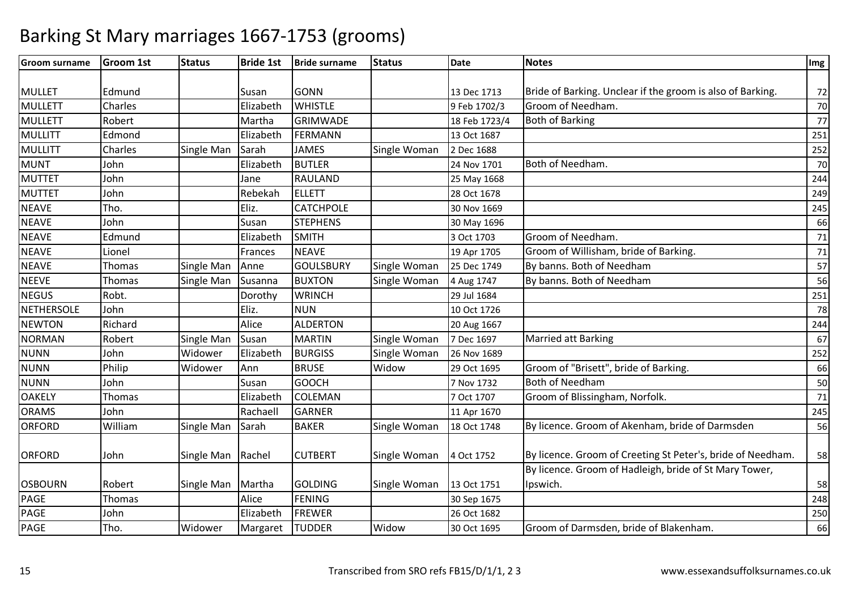| <b>Groom surname</b> | <b>Groom 1st</b> | <b>Status</b> | <b>Bride 1st</b> | <b>Bride surname</b> | <b>Status</b> | <b>Date</b>   | <b>Notes</b>                                                | Img    |
|----------------------|------------------|---------------|------------------|----------------------|---------------|---------------|-------------------------------------------------------------|--------|
|                      |                  |               |                  |                      |               |               |                                                             |        |
| <b>MULLET</b>        | Edmund           |               | Susan            | <b>GONN</b>          |               | 13 Dec 1713   | Bride of Barking. Unclear if the groom is also of Barking.  | 72     |
| <b>MULLETT</b>       | Charles          |               | Elizabeth        | <b>WHISTLE</b>       |               | 9 Feb 1702/3  | Groom of Needham.                                           | 70     |
| <b>MULLETT</b>       | Robert           |               | Martha           | <b>GRIMWADE</b>      |               | 18 Feb 1723/4 | <b>Both of Barking</b>                                      | 77     |
| <b>MULLITT</b>       | Edmond           |               | Elizabeth        | <b>FERMANN</b>       |               | 13 Oct 1687   |                                                             | 251    |
| <b>MULLITT</b>       | Charles          | Single Man    | Sarah            | <b>JAMES</b>         | Single Woman  | 2 Dec 1688    |                                                             | 252    |
| <b>MUNT</b>          | John             |               | Elizabeth        | <b>BUTLER</b>        |               | 24 Nov 1701   | Both of Needham.                                            | 70     |
| <b>MUTTET</b>        | John             |               | Jane             | RAULAND              |               | 25 May 1668   |                                                             | 244    |
| <b>MUTTET</b>        | John             |               | Rebekah          | ELLETT               |               | 28 Oct 1678   |                                                             | 249    |
| <b>NEAVE</b>         | Tho.             |               | Eliz.            | <b>CATCHPOLE</b>     |               | 30 Nov 1669   |                                                             | 245    |
| <b>NEAVE</b>         | John             |               | Susan            | <b>STEPHENS</b>      |               | 30 May 1696   |                                                             | 66     |
| <b>NEAVE</b>         | Edmund           |               | Elizabeth        | <b>SMITH</b>         |               | 3 Oct 1703    | Groom of Needham.                                           | 71     |
| <b>NEAVE</b>         | Lionel           |               | Frances          | <b>NEAVE</b>         |               | 19 Apr 1705   | Groom of Willisham, bride of Barking.                       | 71     |
| <b>NEAVE</b>         | Thomas           | Single Man    | Anne             | <b>GOULSBURY</b>     | Single Woman  | 25 Dec 1749   | By banns. Both of Needham                                   | 57     |
| <b>NEEVE</b>         | Thomas           | Single Man    | Susanna          | <b>BUXTON</b>        | Single Woman  | 4 Aug 1747    | By banns. Both of Needham                                   | 56     |
| <b>NEGUS</b>         | Robt.            |               | Dorothy          | <b>WRINCH</b>        |               | 29 Jul 1684   |                                                             | 251    |
| NETHERSOLE           | John             |               | Eliz.            | <b>NUN</b>           |               | 10 Oct 1726   |                                                             | 78     |
| <b>NEWTON</b>        | Richard          |               | Alice            | <b>ALDERTON</b>      |               | 20 Aug 1667   |                                                             | 244    |
| <b>NORMAN</b>        | Robert           | Single Man    | Susan            | <b>MARTIN</b>        | Single Woman  | 7 Dec 1697    | <b>Married att Barking</b>                                  | 67     |
| <b>NUNN</b>          | John             | Widower       | Elizabeth        | <b>BURGISS</b>       | Single Woman  | 26 Nov 1689   |                                                             | 252    |
| <b>NUNN</b>          | Philip           | Widower       | Ann              | <b>BRUSE</b>         | Widow         | 29 Oct 1695   | Groom of "Brisett", bride of Barking.                       | 66     |
| <b>NUNN</b>          | John             |               | Susan            | <b>GOOCH</b>         |               | 7 Nov 1732    | <b>Both of Needham</b>                                      | $50\,$ |
| <b>OAKELY</b>        | Thomas           |               | Elizabeth        | <b>COLEMAN</b>       |               | 7 Oct 1707    | Groom of Blissingham, Norfolk.                              | 71     |
| <b>ORAMS</b>         | John             |               | Rachaell         | <b>GARNER</b>        |               | 11 Apr 1670   |                                                             | 245    |
| <b>ORFORD</b>        | William          | Single Man    | Sarah            | <b>BAKER</b>         | Single Woman  | 18 Oct 1748   | By licence. Groom of Akenham, bride of Darmsden             | 56     |
|                      |                  |               |                  |                      |               |               |                                                             |        |
| <b>ORFORD</b>        | John             | Single Man    | Rachel           | <b>CUTBERT</b>       | Single Woman  | 4 Oct 1752    | By licence. Groom of Creeting St Peter's, bride of Needham. | 58     |
|                      |                  |               |                  |                      |               |               | By licence. Groom of Hadleigh, bride of St Mary Tower,      |        |
| <b>OSBOURN</b>       | Robert           | Single Man    | Martha           | <b>GOLDING</b>       | Single Woman  | 13 Oct 1751   | Ipswich.                                                    | 58     |
| <b>PAGE</b>          | Thomas           |               | Alice            | <b>FENING</b>        |               | 30 Sep 1675   |                                                             | 248    |
| <b>PAGE</b>          | John             |               | Elizabeth        | <b>FREWER</b>        |               | 26 Oct 1682   |                                                             | 250    |
| <b>PAGE</b>          | Tho.             | Widower       | Margaret         | <b>TUDDER</b>        | Widow         | 30 Oct 1695   | Groom of Darmsden, bride of Blakenham.                      | 66     |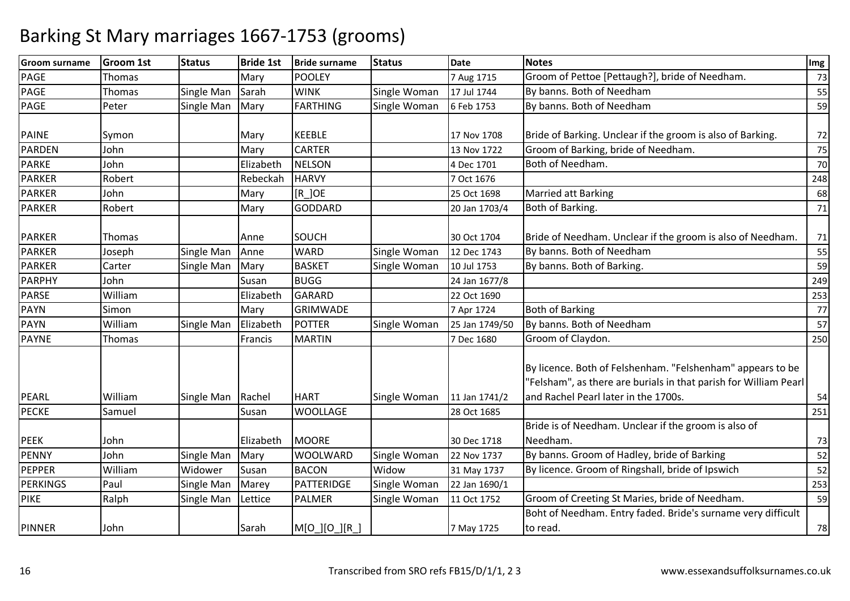| <b>Groom surname</b> | <b>Groom 1st</b> | <b>Status</b> | <b>Bride 1st</b> | <b>Bride surname</b> | <b>Status</b> | <b>Date</b>    | <b>Notes</b>                                                                                                                                                           | Img    |
|----------------------|------------------|---------------|------------------|----------------------|---------------|----------------|------------------------------------------------------------------------------------------------------------------------------------------------------------------------|--------|
| <b>PAGE</b>          | <b>Thomas</b>    |               | Mary             | <b>POOLEY</b>        |               | 7 Aug 1715     | Groom of Pettoe [Pettaugh?], bride of Needham.                                                                                                                         | 73     |
| <b>PAGE</b>          | Thomas           | Single Man    | Sarah            | <b>WINK</b>          | Single Woman  | 17 Jul 1744    | By banns. Both of Needham                                                                                                                                              | 55     |
| <b>PAGE</b>          | Peter            | Single Man    | Mary             | FARTHING             | Single Woman  | 6 Feb 1753     | By banns. Both of Needham                                                                                                                                              | 59     |
|                      |                  |               |                  |                      |               |                |                                                                                                                                                                        |        |
| <b>PAINE</b>         | Symon            |               | Mary             | <b>KEEBLE</b>        |               | 17 Nov 1708    | Bride of Barking. Unclear if the groom is also of Barking.                                                                                                             | 72     |
| <b>PARDEN</b>        | John             |               | Mary             | <b>CARTER</b>        |               | 13 Nov 1722    | Groom of Barking, bride of Needham.                                                                                                                                    | $75\,$ |
| <b>PARKE</b>         | John             |               | Elizabeth        | <b>NELSON</b>        |               | 4 Dec 1701     | Both of Needham.                                                                                                                                                       | $70\,$ |
| <b>PARKER</b>        | Robert           |               | Rebeckah         | <b>HARVY</b>         |               | 7 Oct 1676     |                                                                                                                                                                        | 248    |
| <b>PARKER</b>        | John             |               | Mary             | $[R_$ JOE            |               | 25 Oct 1698    | <b>Married att Barking</b>                                                                                                                                             | 68     |
| <b>PARKER</b>        | Robert           |               | Mary             | <b>GODDARD</b>       |               | 20 Jan 1703/4  | Both of Barking.                                                                                                                                                       | 71     |
|                      |                  |               |                  |                      |               |                |                                                                                                                                                                        |        |
| <b>PARKER</b>        | Thomas           |               | Anne             | SOUCH                |               | 30 Oct 1704    | Bride of Needham. Unclear if the groom is also of Needham.                                                                                                             | 71     |
| <b>PARKER</b>        | Joseph           | Single Man    | Anne             | <b>WARD</b>          | Single Woman  | 12 Dec 1743    | By banns. Both of Needham                                                                                                                                              | 55     |
| <b>PARKER</b>        | Carter           | Single Man    | Mary             | <b>BASKET</b>        | Single Woman  | 10 Jul 1753    | By banns. Both of Barking.                                                                                                                                             | 59     |
| <b>PARPHY</b>        | John             |               | Susan            | <b>BUGG</b>          |               | 24 Jan 1677/8  |                                                                                                                                                                        | 249    |
| <b>PARSE</b>         | William          |               | Elizabeth        | GARARD               |               | 22 Oct 1690    |                                                                                                                                                                        | 253    |
| <b>PAYN</b>          | Simon            |               | Mary             | <b>GRIMWADE</b>      |               | 7 Apr 1724     | <b>Both of Barking</b>                                                                                                                                                 | 77     |
| <b>PAYN</b>          | William          | Single Man    | Elizabeth        | POTTER               | Single Woman  | 25 Jan 1749/50 | By banns. Both of Needham                                                                                                                                              | 57     |
| <b>PAYNE</b>         | Thomas           |               | Francis          | <b>MARTIN</b>        |               | 7 Dec 1680     | Groom of Claydon.                                                                                                                                                      | 250    |
| PEARL                | William          | Single Man    | Rachel           | <b>HART</b>          | Single Woman  | 11 Jan 1741/2  | By licence. Both of Felshenham. "Felshenham" appears to be<br>"Felsham", as there are burials in that parish for William Pearl<br>and Rachel Pearl later in the 1700s. | 54     |
| <b>PECKE</b>         | Samuel           |               | Susan            | <b>WOOLLAGE</b>      |               | 28 Oct 1685    |                                                                                                                                                                        | 251    |
|                      |                  |               |                  |                      |               |                | Bride is of Needham. Unclear if the groom is also of                                                                                                                   |        |
| <b>PEEK</b>          | John             |               | Elizabeth        | <b>MOORE</b>         |               | 30 Dec 1718    | Needham.                                                                                                                                                               | 73     |
| <b>PENNY</b>         | John             | Single Man    | Mary             | <b>WOOLWARD</b>      | Single Woman  | 22 Nov 1737    | By banns. Groom of Hadley, bride of Barking                                                                                                                            | 52     |
| <b>PEPPER</b>        | William          | Widower       | Susan            | <b>BACON</b>         | Widow         | 31 May 1737    | By licence. Groom of Ringshall, bride of Ipswich                                                                                                                       | 52     |
| <b>PERKINGS</b>      | Paul             | Single Man    | Marey            | PATTERIDGE           | Single Woman  | 22 Jan 1690/1  |                                                                                                                                                                        | 253    |
| <b>PIKE</b>          | Ralph            | Single Man    | Lettice          | <b>PALMER</b>        | Single Woman  | 11 Oct 1752    | Groom of Creeting St Maries, bride of Needham.                                                                                                                         | 59     |
|                      |                  |               |                  |                      |               |                | Boht of Needham. Entry faded. Bride's surname very difficult                                                                                                           |        |
| <b>PINNER</b>        | John             |               | Sarah            | M[O_][O_][R_]        |               | 7 May 1725     | to read.                                                                                                                                                               | 78     |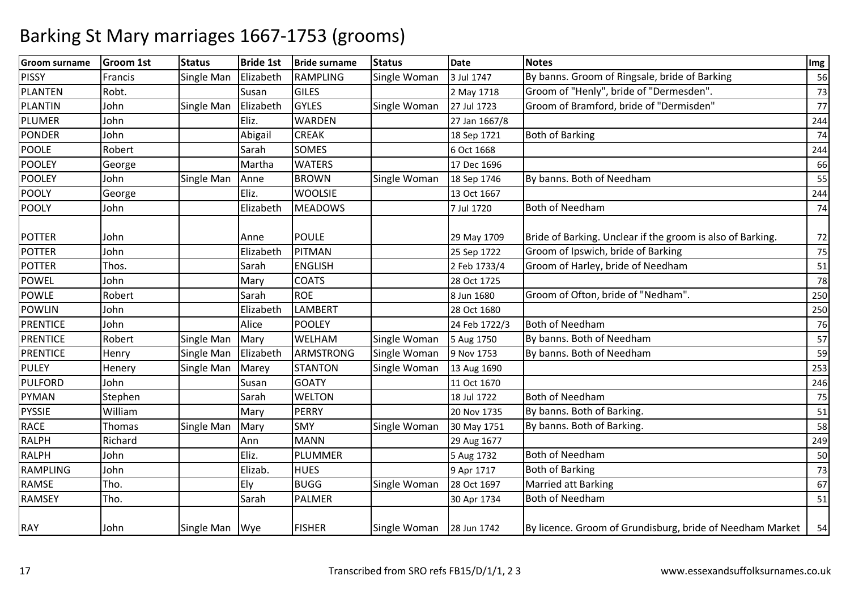| <b>Groom surname</b> | <b>Groom 1st</b> | <b>Status</b>  | <b>Bride 1st</b>  | <b>Bride surname</b> | <b>Status</b> | <b>Date</b>                | <b>Notes</b>                                               | Img      |
|----------------------|------------------|----------------|-------------------|----------------------|---------------|----------------------------|------------------------------------------------------------|----------|
| <b>PISSY</b>         | Francis          | Single Man     | Elizabeth         | <b>RAMPLING</b>      | Single Woman  | 3 Jul 1747                 | By banns. Groom of Ringsale, bride of Barking              | 56       |
| <b>PLANTEN</b>       | Robt.            |                | Susan             | <b>GILES</b>         |               | 2 May 1718                 | Groom of "Henly", bride of "Dermesden".                    | 73       |
| PLANTIN              | John             | Single Man     | Elizabeth         | <b>GYLES</b>         | Single Woman  | 27 Jul 1723                | Groom of Bramford, bride of "Dermisden"                    | 77       |
| <b>PLUMER</b>        | John             |                | Eliz.             | <b>WARDEN</b>        |               | 27 Jan 1667/8              |                                                            | 244      |
| <b>PONDER</b>        | John             |                | Abigail           | <b>CREAK</b>         |               | 18 Sep 1721                | <b>Both of Barking</b>                                     | 74       |
| <b>POOLE</b>         | Robert           |                | Sarah             | <b>SOMES</b>         |               | 6 Oct 1668                 |                                                            | 244      |
| <b>POOLEY</b>        | George           |                | Martha            | <b>WATERS</b>        |               | 17 Dec 1696                |                                                            | 66       |
| <b>POOLEY</b>        | John             | Single Man     | Anne              | <b>BROWN</b>         | Single Woman  | 18 Sep 1746                | By banns. Both of Needham                                  | 55       |
| <b>POOLY</b>         | George           |                | Eliz.             | <b>WOOLSIE</b>       |               | 13 Oct 1667                |                                                            | 244      |
| <b>POOLY</b>         | John             |                | Elizabeth         | <b>MEADOWS</b>       |               | 7 Jul 1720                 | <b>Both of Needham</b>                                     | 74       |
| <b>POTTER</b>        | John             |                |                   | <b>POULE</b>         |               |                            | Bride of Barking. Unclear if the groom is also of Barking. |          |
| <b>POTTER</b>        | John             |                | Anne<br>Elizabeth | PITMAN               |               | 29 May 1709<br>25 Sep 1722 | Groom of Ipswich, bride of Barking                         | 72<br>75 |
| <b>POTTER</b>        | Thos.            |                | Sarah             | <b>ENGLISH</b>       |               |                            | Groom of Harley, bride of Needham                          |          |
|                      |                  |                |                   | <b>COATS</b>         |               | 2 Feb 1733/4               |                                                            | 51       |
| POWEL                | John             |                | Mary              |                      |               | 28 Oct 1725                |                                                            | 78       |
| <b>POWLE</b>         | Robert           |                | Sarah             | <b>ROE</b>           |               | 8 Jun 1680                 | Groom of Ofton, bride of "Nedham".                         | 250      |
| <b>POWLIN</b>        | John             |                | Elizabeth         | <b>LAMBERT</b>       |               | 28 Oct 1680                |                                                            | 250      |
| <b>PRENTICE</b>      | John             |                | Alice             | <b>POOLEY</b>        |               | 24 Feb 1722/3              | Both of Needham                                            | 76       |
| <b>PRENTICE</b>      | Robert           | Single Man     | Mary              | WELHAM               | Single Woman  | 5 Aug 1750                 | By banns. Both of Needham                                  | 57       |
| <b>PRENTICE</b>      | Henry            | Single Man     | Elizabeth         | <b>ARMSTRONG</b>     | Single Woman  | 9 Nov 1753                 | By banns. Both of Needham                                  | 59       |
| <b>PULEY</b>         | Henery           | Single Man     | Marey             | <b>STANTON</b>       | Single Woman  | 13 Aug 1690                |                                                            | 253      |
| <b>PULFORD</b>       | John             |                | Susan             | <b>GOATY</b>         |               | 11 Oct 1670                |                                                            | 246      |
| <b>PYMAN</b>         | Stephen          |                | Sarah             | <b>WELTON</b>        |               | 18 Jul 1722                | <b>Both of Needham</b>                                     | 75       |
| <b>PYSSIE</b>        | William          |                | Mary              | PERRY                |               | 20 Nov 1735                | By banns. Both of Barking.                                 | 51       |
| <b>RACE</b>          | Thomas           | Single Man     | Mary              | <b>SMY</b>           | Single Woman  | 30 May 1751                | By banns. Both of Barking.                                 | 58       |
| <b>RALPH</b>         | Richard          |                | Ann               | <b>MANN</b>          |               | 29 Aug 1677                |                                                            | 249      |
| <b>RALPH</b>         | John             |                | Eliz.             | PLUMMER              |               | 5 Aug 1732                 | <b>Both of Needham</b>                                     | 50       |
| RAMPLING             | John             |                | Elizab.           | <b>HUES</b>          |               | 9 Apr 1717                 | <b>Both of Barking</b>                                     | 73       |
| <b>RAMSE</b>         | Tho.             |                | Ely               | <b>BUGG</b>          | Single Woman  | 28 Oct 1697                | Married att Barking                                        | 67       |
| <b>RAMSEY</b>        | Tho.             |                | Sarah             | <b>PALMER</b>        |               | 30 Apr 1734                | <b>Both of Needham</b>                                     | 51       |
| <b>RAY</b>           | John             | Single Man Wye |                   | <b>FISHER</b>        | Single Woman  | 28 Jun 1742                | By licence. Groom of Grundisburg, bride of Needham Market  | 54       |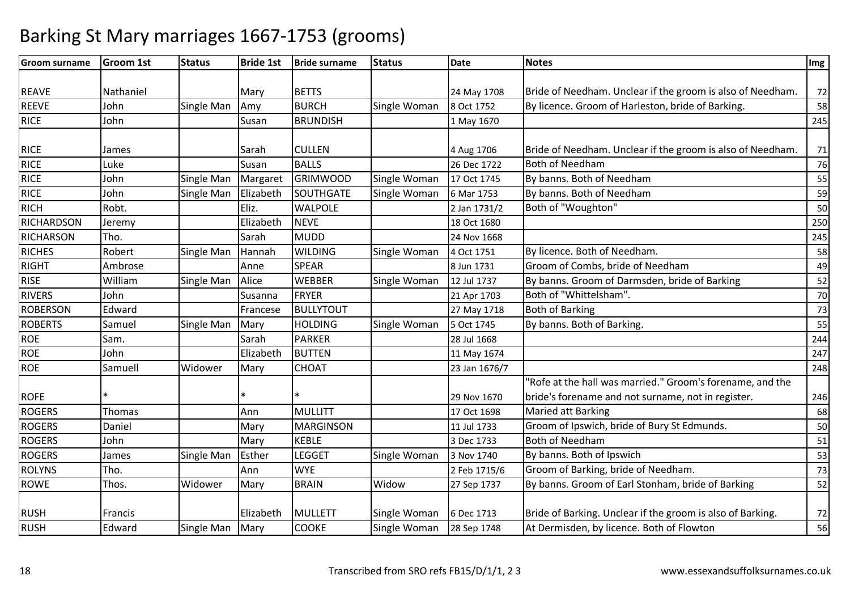| <b>Groom surname</b> | <b>Groom 1st</b> | <b>Status</b>     | <b>Bride 1st</b> | <b>Bride surname</b> | <b>Status</b> | <b>Date</b>   | <b>Notes</b>                                               | Img |
|----------------------|------------------|-------------------|------------------|----------------------|---------------|---------------|------------------------------------------------------------|-----|
|                      |                  |                   |                  |                      |               |               |                                                            |     |
| <b>REAVE</b>         | Nathaniel        |                   | Mary             | <b>BETTS</b>         |               | 24 May 1708   | Bride of Needham. Unclear if the groom is also of Needham. | 72  |
| <b>REEVE</b>         | John             | Single Man        | Amy              | <b>BURCH</b>         | Single Woman  | 8 Oct 1752    | By licence. Groom of Harleston, bride of Barking.          | 58  |
| <b>RICE</b>          | John             |                   | Susan            | <b>BRUNDISH</b>      |               | 1 May 1670    |                                                            | 245 |
|                      |                  |                   |                  |                      |               |               |                                                            |     |
| <b>RICE</b>          | James            |                   | Sarah            | <b>CULLEN</b>        |               | 4 Aug 1706    | Bride of Needham. Unclear if the groom is also of Needham. | 71  |
| <b>RICE</b>          | Luke             |                   | Susan            | <b>BALLS</b>         |               | 26 Dec 1722   | <b>Both of Needham</b>                                     | 76  |
| <b>RICE</b>          | John             | Single Man        | Margaret         | <b>GRIMWOOD</b>      | Single Woman  | 17 Oct 1745   | By banns. Both of Needham                                  | 55  |
| <b>RICE</b>          | John             | Single Man        | Elizabeth        | SOUTHGATE            | Single Woman  | 6 Mar 1753    | By banns. Both of Needham                                  | 59  |
| <b>RICH</b>          | Robt.            |                   | Eliz.            | <b>WALPOLE</b>       |               | 2 Jan 1731/2  | Both of "Woughton"                                         | 50  |
| <b>RICHARDSON</b>    | Jeremy           |                   | Elizabeth        | <b>NEVE</b>          |               | 18 Oct 1680   |                                                            | 250 |
| <b>RICHARSON</b>     | Tho.             |                   | Sarah            | <b>MUDD</b>          |               | 24 Nov 1668   |                                                            | 245 |
| <b>RICHES</b>        | Robert           | <b>Single Man</b> | Hannah           | <b>WILDING</b>       | Single Woman  | 4 Oct 1751    | By licence. Both of Needham.                               | 58  |
| <b>RIGHT</b>         | Ambrose          |                   | Anne             | <b>SPEAR</b>         |               | 8 Jun 1731    | Groom of Combs, bride of Needham                           | 49  |
| <b>RISE</b>          | William          | Single Man        | Alice            | <b>WEBBER</b>        | Single Woman  | 12 Jul 1737   | By banns. Groom of Darmsden, bride of Barking              | 52  |
| <b>RIVERS</b>        | John             |                   | Susanna          | <b>FRYER</b>         |               | 21 Apr 1703   | Both of "Whittelsham".                                     | 70  |
| <b>ROBERSON</b>      | Edward           |                   | Francese         | <b>BULLYTOUT</b>     |               | 27 May 1718   | <b>Both of Barking</b>                                     | 73  |
| <b>ROBERTS</b>       | Samuel           | Single Man        | Mary             | <b>HOLDING</b>       | Single Woman  | 5 Oct 1745    | By banns. Both of Barking.                                 | 55  |
| <b>ROE</b>           | Sam.             |                   | Sarah            | <b>PARKER</b>        |               | 28 Jul 1668   |                                                            | 244 |
| <b>ROE</b>           | John             |                   | Elizabeth        | <b>BUTTEN</b>        |               | 11 May 1674   |                                                            | 247 |
| <b>ROE</b>           | Samuell          | Widower           | Mary             | <b>CHOAT</b>         |               | 23 Jan 1676/7 |                                                            | 248 |
|                      |                  |                   |                  |                      |               |               | 'Rofe at the hall was married." Groom's forename, and the  |     |
| <b>ROFE</b>          |                  |                   |                  |                      |               | 29 Nov 1670   | bride's forename and not surname, not in register.         | 246 |
| <b>ROGERS</b>        | Thomas           |                   | Ann              | MULLITT              |               | 17 Oct 1698   | <b>Maried att Barking</b>                                  | 68  |
| <b>ROGERS</b>        | Daniel           |                   | Mary             | <b>MARGINSON</b>     |               | 11 Jul 1733   | Groom of Ipswich, bride of Bury St Edmunds.                | 50  |
| <b>ROGERS</b>        | John             |                   | Mary             | <b>KEBLE</b>         |               | 3 Dec 1733    | Both of Needham                                            | 51  |
| <b>ROGERS</b>        | James            | <b>Single Man</b> | Esther           | <b>LEGGET</b>        | Single Woman  | 3 Nov 1740    | By banns. Both of Ipswich                                  | 53  |
| <b>ROLYNS</b>        | Tho.             |                   | Ann              | <b>WYE</b>           |               | 2 Feb 1715/6  | Groom of Barking, bride of Needham.                        | 73  |
| <b>ROWE</b>          | Thos.            | Widower           | Mary             | <b>BRAIN</b>         | Widow         | 27 Sep 1737   | By banns. Groom of Earl Stonham, bride of Barking          | 52  |
|                      |                  |                   |                  |                      |               |               |                                                            |     |
| <b>RUSH</b>          | <b>Francis</b>   |                   | Elizabeth        | <b>MULLETT</b>       | Single Woman  | 6 Dec 1713    | Bride of Barking. Unclear if the groom is also of Barking. | 72  |
| <b>RUSH</b>          | Edward           | Single Man        | Mary             | <b>COOKE</b>         | Single Woman  | 28 Sep 1748   | At Dermisden, by licence. Both of Flowton                  | 56  |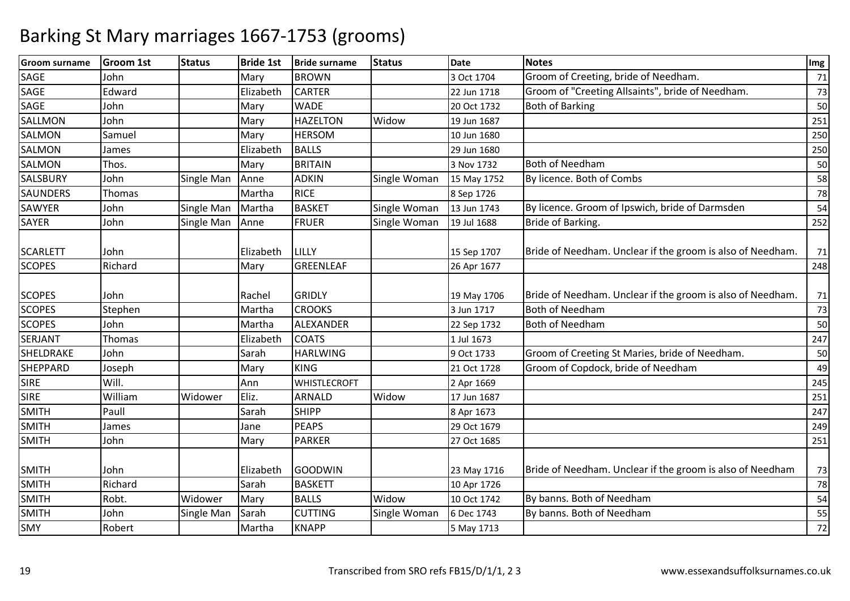| <b>Groom surname</b>         | <b>Groom 1st</b> | <b>Status</b> | <b>Bride 1st</b>   | <b>Bride surname</b>             | <b>Status</b> | <b>Date</b>                | <b>Notes</b>                                               | Img      |
|------------------------------|------------------|---------------|--------------------|----------------------------------|---------------|----------------------------|------------------------------------------------------------|----------|
| SAGE                         | John             |               | Mary               | <b>BROWN</b>                     |               | 3 Oct 1704                 | Groom of Creeting, bride of Needham.                       | 71       |
| SAGE                         | Edward           |               | Elizabeth          | <b>CARTER</b>                    |               | 22 Jun 1718                | Groom of "Creeting Allsaints", bride of Needham.           | 73       |
| <b>SAGE</b>                  | John             |               | Mary               | <b>WADE</b>                      |               | 20 Oct 1732                | <b>Both of Barking</b>                                     | 50       |
| SALLMON                      | John             |               | Mary               | <b>HAZELTON</b>                  | Widow         | 19 Jun 1687                |                                                            | 251      |
| <b>SALMON</b>                | Samuel           |               | Mary               | <b>HERSOM</b>                    |               | 10 Jun 1680                |                                                            | 250      |
| <b>SALMON</b>                | James            |               | Elizabeth          | <b>BALLS</b>                     |               | 29 Jun 1680                |                                                            | 250      |
| <b>SALMON</b>                | Thos.            |               | Mary               | <b>BRITAIN</b>                   |               | 3 Nov 1732                 | <b>Both of Needham</b>                                     | 50       |
| <b>SALSBURY</b>              | John             | Single Man    | Anne               | <b>ADKIN</b>                     | Single Woman  | 15 May 1752                | By licence. Both of Combs                                  | 58       |
| <b>SAUNDERS</b>              | Thomas           |               | Martha             | <b>RICE</b>                      |               | 8 Sep 1726                 |                                                            | 78       |
| SAWYER                       | John             | Single Man    | Martha             | <b>BASKET</b>                    | Single Woman  | 13 Jun 1743                | By licence. Groom of Ipswich, bride of Darmsden            | 54       |
| <b>SAYER</b>                 | John             | Single Man    | Anne               | <b>FRUER</b>                     | Single Woman  | 19 Jul 1688                | Bride of Barking.                                          | 252      |
| <b>SCARLETT</b>              | John             |               | Elizabeth          | LILLY                            |               | 15 Sep 1707                | Bride of Needham. Unclear if the groom is also of Needham. | 71       |
| <b>SCOPES</b>                | Richard          |               | Mary               | <b>GREENLEAF</b>                 |               | 26 Apr 1677                |                                                            | 248      |
| <b>SCOPES</b>                | John             |               | Rachel             | <b>GRIDLY</b>                    |               | 19 May 1706                | Bride of Needham. Unclear if the groom is also of Needham. | 71       |
| <b>SCOPES</b>                | Stephen          |               | Martha             | <b>CROOKS</b>                    |               | 3 Jun 1717                 | <b>Both of Needham</b>                                     | 73       |
| <b>SCOPES</b>                | John             |               | Martha             | ALEXANDER                        |               | 22 Sep 1732                | <b>Both of Needham</b>                                     | 50       |
| SERJANT                      | Thomas           |               | Elizabeth          | <b>COATS</b>                     |               | 1 Jul 1673                 |                                                            | 247      |
| SHELDRAKE                    | John             |               | Sarah              | <b>HARLWING</b>                  |               | 9 Oct 1733                 | Groom of Creeting St Maries, bride of Needham.             | 50       |
| <b>SHEPPARD</b>              | Joseph           |               | Mary               | <b>KING</b>                      |               | 21 Oct 1728                | Groom of Copdock, bride of Needham                         | 49       |
| <b>SIRE</b>                  | Will.            |               | Ann                | <b>WHISTLECROFT</b>              |               | 2 Apr 1669                 |                                                            | 245      |
| <b>SIRE</b>                  | William          | Widower       | Eliz.              | ARNALD                           | Widow         | 17 Jun 1687                |                                                            | 251      |
| <b>SMITH</b>                 | Paull            |               | Sarah              | <b>SHIPP</b>                     |               | 8 Apr 1673                 |                                                            | 247      |
| <b>SMITH</b>                 | James            |               | Jane               | <b>PEAPS</b>                     |               | 29 Oct 1679                |                                                            | 249      |
| <b>SMITH</b>                 | John             |               | Mary               | <b>PARKER</b>                    |               | 27 Oct 1685                |                                                            | 251      |
| <b>SMITH</b><br><b>SMITH</b> | John<br>Richard  |               | Elizabeth<br>Sarah | <b>GOODWIN</b><br><b>BASKETT</b> |               | 23 May 1716<br>10 Apr 1726 | Bride of Needham. Unclear if the groom is also of Needham  | 73<br>78 |
| <b>SMITH</b>                 | Robt.            | Widower       | Mary               | <b>BALLS</b>                     | Widow         | 10 Oct 1742                | By banns. Both of Needham                                  | 54       |
| <b>SMITH</b>                 | John             | Single Man    | Sarah              | <b>CUTTING</b>                   | Single Woman  | 6 Dec 1743                 | By banns. Both of Needham                                  | 55       |
| SMY                          | Robert           |               | Martha             | <b>KNAPP</b>                     |               | 5 May 1713                 |                                                            | 72       |
|                              |                  |               |                    |                                  |               |                            |                                                            |          |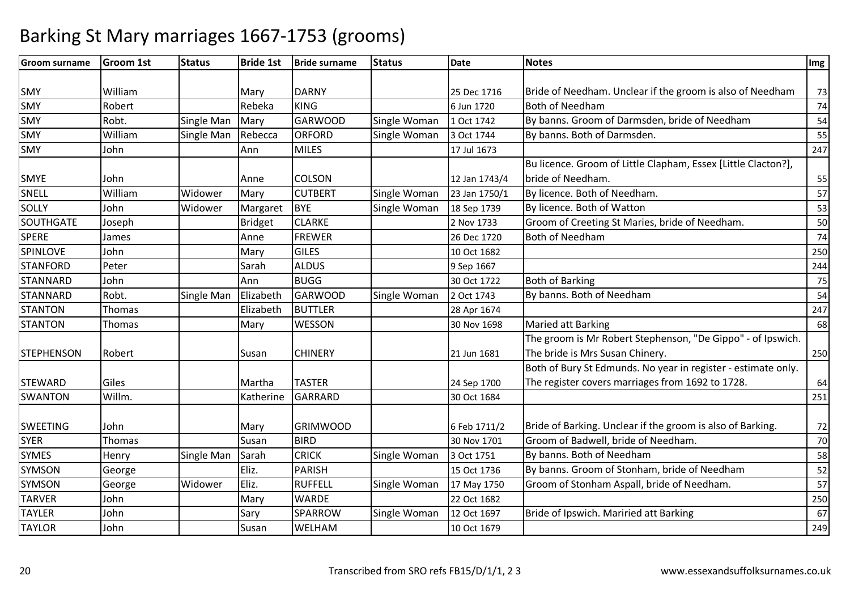| <b>Groom surname</b> | <b>Groom 1st</b> | <b>Status</b> | <b>Bride 1st</b> | <b>Bride surname</b> | <b>Status</b> | <b>Date</b>   | <b>Notes</b>                                                  | Img    |
|----------------------|------------------|---------------|------------------|----------------------|---------------|---------------|---------------------------------------------------------------|--------|
|                      |                  |               |                  |                      |               |               |                                                               |        |
| SMY                  | William          |               | Mary             | <b>DARNY</b>         |               | 25 Dec 1716   | Bride of Needham. Unclear if the groom is also of Needham     | 73     |
| SMY                  | Robert           |               | Rebeka           | <b>KING</b>          |               | 6 Jun 1720    | <b>Both of Needham</b>                                        | 74     |
| SMY                  | Robt.            | Single Man    | Mary             | <b>GARWOOD</b>       | Single Woman  | 1 Oct 1742    | By banns. Groom of Darmsden, bride of Needham                 | 54     |
| <b>SMY</b>           | William          | Single Man    | Rebecca          | <b>ORFORD</b>        | Single Woman  | 3 Oct 1744    | By banns. Both of Darmsden.                                   | 55     |
| <b>SMY</b>           | John             |               | Ann              | <b>MILES</b>         |               | 17 Jul 1673   |                                                               | 247    |
|                      |                  |               |                  |                      |               |               | Bu licence. Groom of Little Clapham, Essex [Little Clacton?], |        |
| <b>SMYE</b>          | John             |               | Anne             | <b>COLSON</b>        |               | 12 Jan 1743/4 | bride of Needham.                                             | 55     |
| SNELL                | William          | Widower       | Mary             | <b>CUTBERT</b>       | Single Woman  | 23 Jan 1750/1 | By licence. Both of Needham.                                  | 57     |
| SOLLY                | John             | Widower       | Margaret         | <b>BYE</b>           | Single Woman  | 18 Sep 1739   | By licence. Both of Watton                                    | 53     |
| SOUTHGATE            | Joseph           |               | <b>Bridget</b>   | <b>CLARKE</b>        |               | 2 Nov 1733    | Groom of Creeting St Maries, bride of Needham.                | 50     |
| <b>SPERE</b>         | James            |               | Anne             | <b>FREWER</b>        |               | 26 Dec 1720   | <b>Both of Needham</b>                                        | 74     |
| <b>SPINLOVE</b>      | John             |               | Mary             | <b>GILES</b>         |               | 10 Oct 1682   |                                                               | 250    |
| <b>STANFORD</b>      | Peter            |               | Sarah            | <b>ALDUS</b>         |               | 9 Sep 1667    |                                                               | 244    |
| <b>STANNARD</b>      | John             |               | Ann              | <b>BUGG</b>          |               | 30 Oct 1722   | <b>Both of Barking</b>                                        | 75     |
| <b>STANNARD</b>      | Robt.            | Single Man    | Elizabeth        | <b>GARWOOD</b>       | Single Woman  | 2 Oct 1743    | By banns. Both of Needham                                     | 54     |
| <b>STANTON</b>       | Thomas           |               | Elizabeth        | <b>BUTTLER</b>       |               | 28 Apr 1674   |                                                               | 247    |
| <b>STANTON</b>       | Thomas           |               | Mary             | WESSON               |               | 30 Nov 1698   | Maried att Barking                                            | 68     |
|                      |                  |               |                  |                      |               |               | The groom is Mr Robert Stephenson, "De Gippo" - of Ipswich.   |        |
| <b>STEPHENSON</b>    | Robert           |               | Susan            | <b>CHINERY</b>       |               | 21 Jun 1681   | The bride is Mrs Susan Chinery.                               | 250    |
|                      |                  |               |                  |                      |               |               | Both of Bury St Edmunds. No year in register - estimate only. |        |
| <b>STEWARD</b>       | Giles            |               | Martha           | <b>TASTER</b>        |               | 24 Sep 1700   | The register covers marriages from 1692 to 1728.              | 64     |
| <b>SWANTON</b>       | Willm.           |               | Katherine        | <b>GARRARD</b>       |               | 30 Oct 1684   |                                                               | 251    |
|                      |                  |               |                  |                      |               |               |                                                               |        |
| <b>SWEETING</b>      | John             |               | Mary             | <b>GRIMWOOD</b>      |               | 6 Feb 1711/2  | Bride of Barking. Unclear if the groom is also of Barking.    | 72     |
| <b>SYER</b>          | Thomas           |               | Susan            | <b>BIRD</b>          |               | 30 Nov 1701   | Groom of Badwell, bride of Needham.                           | $70\,$ |
| <b>SYMES</b>         | Henry            | Single Man    | Sarah            | <b>CRICK</b>         | Single Woman  | 3 Oct 1751    | By banns. Both of Needham                                     | 58     |
| <b>SYMSON</b>        | George           |               | Eliz.            | PARISH               |               | 15 Oct 1736   | By banns. Groom of Stonham, bride of Needham                  | 52     |
| <b>SYMSON</b>        | George           | Widower       | Eliz.            | <b>RUFFELL</b>       | Single Woman  | 17 May 1750   | Groom of Stonham Aspall, bride of Needham.                    | 57     |
| <b>TARVER</b>        | John             |               | Mary             | <b>WARDE</b>         |               | 22 Oct 1682   |                                                               | 250    |
| <b>TAYLER</b>        | John             |               | Sary             | SPARROW              | Single Woman  | 12 Oct 1697   | Bride of Ipswich. Mariried att Barking                        | 67     |
| <b>TAYLOR</b>        | John             |               | Susan            | <b>WELHAM</b>        |               | 10 Oct 1679   |                                                               | 249    |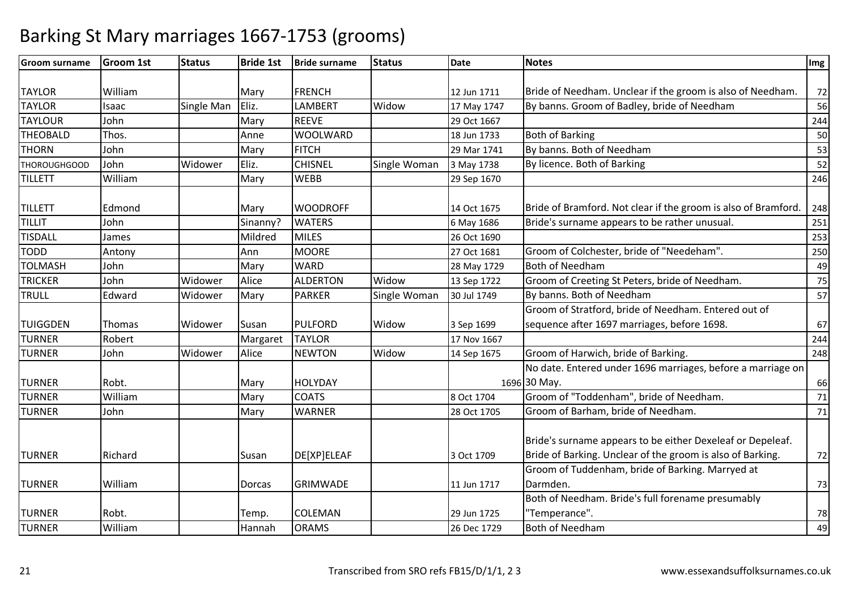| <b>Groom surname</b> | Groom 1st | <b>Status</b> | <b>Bride 1st</b> | <b>Bride surname</b> | <b>Status</b> | <b>Date</b> | <b>Notes</b>                                                   | Img |
|----------------------|-----------|---------------|------------------|----------------------|---------------|-------------|----------------------------------------------------------------|-----|
|                      |           |               |                  |                      |               |             |                                                                |     |
| <b>TAYLOR</b>        | William   |               | Mary             | <b>FRENCH</b>        |               | 12 Jun 1711 | Bride of Needham. Unclear if the groom is also of Needham.     | 72  |
| <b>TAYLOR</b>        | Isaac     | Single Man    | Eliz.            | <b>LAMBERT</b>       | Widow         | 17 May 1747 | By banns. Groom of Badley, bride of Needham                    | 56  |
| <b>TAYLOUR</b>       | John      |               | Mary             | <b>REEVE</b>         |               | 29 Oct 1667 |                                                                | 244 |
| <b>THEOBALD</b>      | Thos.     |               | Anne             | <b>WOOLWARD</b>      |               | 18 Jun 1733 | <b>Both of Barking</b>                                         | 50  |
| <b>THORN</b>         | John      |               | Mary             | <b>FITCH</b>         |               | 29 Mar 1741 | By banns. Both of Needham                                      | 53  |
| <b>THOROUGHGOOD</b>  | John      | Widower       | Eliz.            | <b>CHISNEL</b>       | Single Woman  | 3 May 1738  | By licence. Both of Barking                                    | 52  |
| <b>TILLETT</b>       | William   |               | Mary             | <b>WEBB</b>          |               | 29 Sep 1670 |                                                                | 246 |
| <b>TILLETT</b>       | Edmond    |               | Mary             | <b>WOODROFF</b>      |               | 14 Oct 1675 | Bride of Bramford. Not clear if the groom is also of Bramford. | 248 |
| <b>TILLIT</b>        | John      |               | Sinanny?         | <b>WATERS</b>        |               | 6 May 1686  | Bride's surname appears to be rather unusual.                  | 251 |
| <b>TISDALL</b>       | James     |               | Mildred          | <b>MILES</b>         |               | 26 Oct 1690 |                                                                | 253 |
| <b>TODD</b>          | Antony    |               | Ann              | <b>MOORE</b>         |               | 27 Oct 1681 | Groom of Colchester, bride of "Needeham".                      | 250 |
| <b>TOLMASH</b>       | John      |               | Mary             | <b>WARD</b>          |               | 28 May 1729 | <b>Both of Needham</b>                                         | 49  |
| <b>TRICKER</b>       | John      | Widower       | Alice            | <b>ALDERTON</b>      | Widow         | 13 Sep 1722 | Groom of Creeting St Peters, bride of Needham.                 | 75  |
| <b>TRULL</b>         | Edward    | Widower       | Mary             | <b>PARKER</b>        | Single Woman  | 30 Jul 1749 | By banns. Both of Needham                                      | 57  |
|                      |           |               |                  |                      |               |             | Groom of Stratford, bride of Needham. Entered out of           |     |
| <b>TUIGGDEN</b>      | Thomas    | Widower       | Susan            | <b>PULFORD</b>       | Widow         | 3 Sep 1699  | sequence after 1697 marriages, before 1698.                    | 67  |
| <b>TURNER</b>        | Robert    |               | Margaret         | <b>TAYLOR</b>        |               | 17 Nov 1667 |                                                                | 244 |
| <b>TURNER</b>        | John      | Widower       | Alice            | <b>NEWTON</b>        | Widow         | 14 Sep 1675 | Groom of Harwich, bride of Barking.                            | 248 |
|                      |           |               |                  |                      |               |             | No date. Entered under 1696 marriages, before a marriage on    |     |
| <b>TURNER</b>        | Robt.     |               | Mary             | <b>HOLYDAY</b>       |               |             | 1696 30 May.                                                   | 66  |
| <b>TURNER</b>        | William   |               | Mary             | <b>COATS</b>         |               | 8 Oct 1704  | Groom of "Toddenham", bride of Needham.                        | 71  |
| <b>TURNER</b>        | John      |               | Mary             | <b>WARNER</b>        |               | 28 Oct 1705 | Groom of Barham, bride of Needham.                             | 71  |
|                      |           |               |                  |                      |               |             | Bride's surname appears to be either Dexeleaf or Depeleaf.     |     |
| <b>TURNER</b>        | Richard   |               | Susan            | DE[XP]ELEAF          |               | 3 Oct 1709  | Bride of Barking. Unclear of the groom is also of Barking.     | 72  |
|                      |           |               |                  |                      |               |             | Groom of Tuddenham, bride of Barking. Marryed at               |     |
| <b>TURNER</b>        | William   |               | <b>Dorcas</b>    | <b>GRIMWADE</b>      |               | 11 Jun 1717 | Darmden.                                                       | 73  |
|                      |           |               |                  |                      |               |             | Both of Needham. Bride's full forename presumably              |     |
| <b>TURNER</b>        | Robt.     |               | Temp.            | <b>COLEMAN</b>       |               | 29 Jun 1725 | "Temperance".                                                  | 78  |
| <b>TURNER</b>        | William   |               | Hannah           | <b>ORAMS</b>         |               | 26 Dec 1729 | <b>Both of Needham</b>                                         | 49  |
|                      |           |               |                  |                      |               |             |                                                                |     |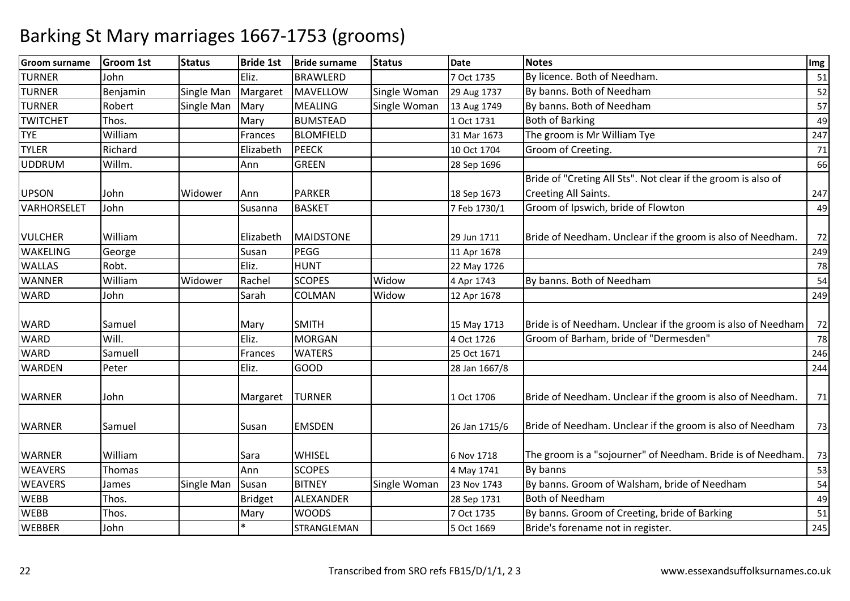| <b>Groom surname</b> | <b>Groom 1st</b> | <b>Status</b> | <b>Bride 1st</b> | <b>Bride surname</b> | <b>Status</b> | <b>Date</b>   | <b>Notes</b>                                                  | Img |
|----------------------|------------------|---------------|------------------|----------------------|---------------|---------------|---------------------------------------------------------------|-----|
| <b>TURNER</b>        | John             |               | Eliz.            | <b>BRAWLERD</b>      |               | 7 Oct 1735    | By licence. Both of Needham.                                  | 51  |
| <b>TURNER</b>        | Benjamin         | Single Man    | Margaret         | MAVELLOW             | Single Woman  | 29 Aug 1737   | By banns. Both of Needham                                     | 52  |
| <b>TURNER</b>        | Robert           | Single Man    | Mary             | <b>MEALING</b>       | Single Woman  | 13 Aug 1749   | By banns. Both of Needham                                     | 57  |
| <b>TWITCHET</b>      | Thos.            |               | Mary             | <b>BUMSTEAD</b>      |               | 1 Oct 1731    | <b>Both of Barking</b>                                        | 49  |
| <b>TYE</b>           | William          |               | Frances          | <b>BLOMFIELD</b>     |               | 31 Mar 1673   | The groom is Mr William Tye                                   | 247 |
| <b>TYLER</b>         | Richard          |               | Elizabeth        | PEECK                |               | 10 Oct 1704   | Groom of Creeting.                                            | 71  |
| <b>UDDRUM</b>        | Willm.           |               | Ann              | <b>GREEN</b>         |               | 28 Sep 1696   |                                                               | 66  |
|                      |                  |               |                  |                      |               |               | Bride of "Creting All Sts". Not clear if the groom is also of |     |
| <b>UPSON</b>         | John             | Widower       | Ann              | <b>PARKER</b>        |               | 18 Sep 1673   | Creeting All Saints.                                          | 247 |
| VARHORSELET          | John             |               | Susanna          | <b>BASKET</b>        |               | 7 Feb 1730/1  | Groom of Ipswich, bride of Flowton                            | 49  |
| <b>VULCHER</b>       | William          |               | Elizabeth        | <b>MAIDSTONE</b>     |               | 29 Jun 1711   | Bride of Needham. Unclear if the groom is also of Needham.    | 72  |
| <b>WAKELING</b>      | George           |               | Susan            | PEGG                 |               | 11 Apr 1678   |                                                               | 249 |
| <b>WALLAS</b>        | Robt.            |               | Eliz.            | <b>HUNT</b>          |               | 22 May 1726   |                                                               | 78  |
| <b>WANNER</b>        | William          | Widower       | Rachel           | <b>SCOPES</b>        | Widow         | 4 Apr 1743    | By banns. Both of Needham                                     | 54  |
| <b>WARD</b>          | John             |               | Sarah            | <b>COLMAN</b>        | Widow         | 12 Apr 1678   |                                                               | 249 |
|                      |                  |               |                  |                      |               |               |                                                               |     |
| <b>WARD</b>          | Samuel           |               | Mary             | <b>SMITH</b>         |               | 15 May 1713   | Bride is of Needham. Unclear if the groom is also of Needham  | 72  |
| <b>WARD</b>          | Will.            |               | Eliz.            | <b>MORGAN</b>        |               | 4 Oct 1726    | Groom of Barham, bride of "Dermesden"                         | 78  |
| <b>WARD</b>          | Samuell          |               | Frances          | <b>WATERS</b>        |               | 25 Oct 1671   |                                                               | 246 |
| <b>WARDEN</b>        | Peter            |               | Eliz.            | <b>GOOD</b>          |               | 28 Jan 1667/8 |                                                               | 244 |
| <b>WARNER</b>        | John             |               | Margaret         | <b>TURNER</b>        |               | 1 Oct 1706    | Bride of Needham. Unclear if the groom is also of Needham.    | 71  |
| <b>WARNER</b>        | Samuel           |               | Susan            | <b>EMSDEN</b>        |               | 26 Jan 1715/6 | Bride of Needham. Unclear if the groom is also of Needham     | 73  |
| <b>WARNER</b>        | William          |               | Sara             | <b>WHISEL</b>        |               | 6 Nov 1718    | The groom is a "sojourner" of Needham. Bride is of Needham.   | 73  |
| <b>WEAVERS</b>       | Thomas           |               | Ann              | <b>SCOPES</b>        |               | 4 May 1741    | By banns                                                      | 53  |
| <b>WEAVERS</b>       | James            | Single Man    | Susan            | <b>BITNEY</b>        | Single Woman  | 23 Nov 1743   | By banns. Groom of Walsham, bride of Needham                  | 54  |
| <b>WEBB</b>          | Thos.            |               | <b>Bridget</b>   | ALEXANDER            |               | 28 Sep 1731   | <b>Both of Needham</b>                                        | 49  |
| <b>WEBB</b>          | Thos.            |               | Mary             | <b>WOODS</b>         |               | 7 Oct 1735    | By banns. Groom of Creeting, bride of Barking                 | 51  |
| <b>WEBBER</b>        | John             |               |                  | STRANGLEMAN          |               | 5 Oct 1669    | Bride's forename not in register.                             | 245 |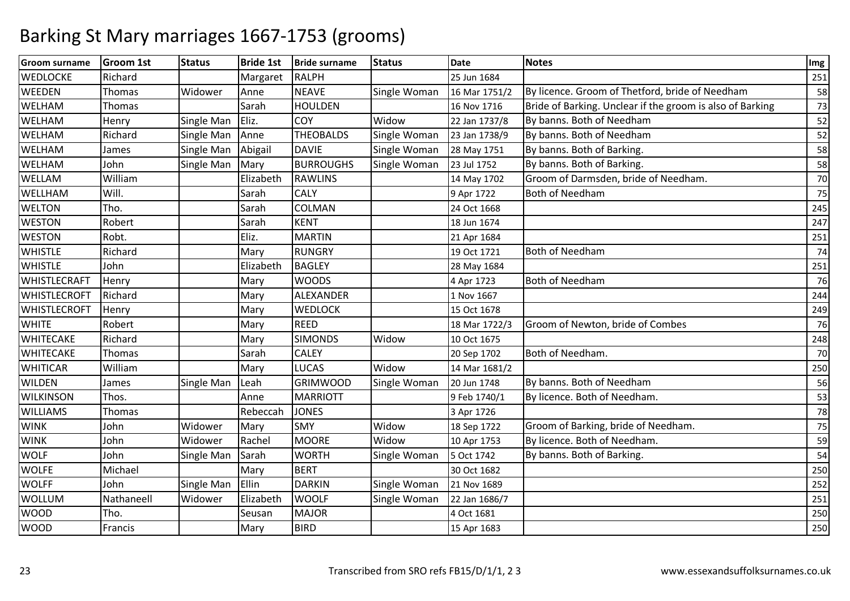| <b>Groom surname</b> | <b>Groom 1st</b> | <b>Status</b> | <b>Bride 1st</b> | <b>Bride surname</b> | <b>Status</b> | <b>Date</b>   | <b>Notes</b>                                              | Img |
|----------------------|------------------|---------------|------------------|----------------------|---------------|---------------|-----------------------------------------------------------|-----|
| <b>WEDLOCKE</b>      | Richard          |               | Margaret         | <b>RALPH</b>         |               | 25 Jun 1684   |                                                           | 251 |
| <b>WEEDEN</b>        | Thomas           | Widower       | Anne             | <b>NEAVE</b>         | Single Woman  | 16 Mar 1751/2 | By licence. Groom of Thetford, bride of Needham           | 58  |
| WELHAM               | Thomas           |               | Sarah            | <b>HOULDEN</b>       |               | 16 Nov 1716   | Bride of Barking. Unclear if the groom is also of Barking | 73  |
| WELHAM               | Henry            | Single Man    | Eliz.            | COY                  | Widow         | 22 Jan 1737/8 | By banns. Both of Needham                                 | 52  |
| <b>WELHAM</b>        | Richard          | Single Man    | Anne             | <b>THEOBALDS</b>     | Single Woman  | 23 Jan 1738/9 | By banns. Both of Needham                                 | 52  |
| WELHAM               | James            | Single Man    | Abigail          | <b>DAVIE</b>         | Single Woman  | 28 May 1751   | By banns. Both of Barking.                                | 58  |
| WELHAM               | John             | Single Man    | Mary             | <b>BURROUGHS</b>     | Single Woman  | 23 Jul 1752   | By banns. Both of Barking.                                | 58  |
| WELLAM               | William          |               | Elizabeth        | <b>RAWLINS</b>       |               | 14 May 1702   | Groom of Darmsden, bride of Needham.                      | 70  |
| <b>WELLHAM</b>       | Will.            |               | Sarah            | <b>CALY</b>          |               | 9 Apr 1722    | <b>Both of Needham</b>                                    | 75  |
| <b>WELTON</b>        | Tho.             |               | Sarah            | COLMAN               |               | 24 Oct 1668   |                                                           | 245 |
| <b>WESTON</b>        | Robert           |               | Sarah            | <b>KENT</b>          |               | 18 Jun 1674   |                                                           | 247 |
| <b>WESTON</b>        | Robt.            |               | Eliz.            | <b>MARTIN</b>        |               | 21 Apr 1684   |                                                           | 251 |
| <b>WHISTLE</b>       | Richard          |               | Mary             | <b>RUNGRY</b>        |               | 19 Oct 1721   | <b>Both of Needham</b>                                    | 74  |
| <b>WHISTLE</b>       | John             |               | Elizabeth        | <b>BAGLEY</b>        |               | 28 May 1684   |                                                           | 251 |
| <b>WHISTLECRAFT</b>  | Henry            |               | Mary             | <b>WOODS</b>         |               | 4 Apr 1723    | <b>Both of Needham</b>                                    | 76  |
| <b>WHISTLECROFT</b>  | Richard          |               | Mary             | <b>ALEXANDER</b>     |               | 1 Nov 1667    |                                                           | 244 |
| <b>WHISTLECROFT</b>  | Henry            |               | Mary             | <b>WEDLOCK</b>       |               | 15 Oct 1678   |                                                           | 249 |
| <b>WHITE</b>         | Robert           |               | Mary             | <b>REED</b>          |               | 18 Mar 1722/3 | Groom of Newton, bride of Combes                          | 76  |
| <b>WHITECAKE</b>     | Richard          |               | Mary             | <b>SIMONDS</b>       | Widow         | 10 Oct 1675   |                                                           | 248 |
| <b>WHITECAKE</b>     | Thomas           |               | Sarah            | <b>CALEY</b>         |               | 20 Sep 1702   | Both of Needham.                                          | 70  |
| <b>WHITICAR</b>      | William          |               | Mary             | <b>LUCAS</b>         | Widow         | 14 Mar 1681/2 |                                                           | 250 |
| <b>WILDEN</b>        | James            | Single Man    | Leah             | <b>GRIMWOOD</b>      | Single Woman  | 20 Jun 1748   | By banns. Both of Needham                                 | 56  |
| <b>WILKINSON</b>     | Thos.            |               | Anne             | <b>MARRIOTT</b>      |               | 9 Feb 1740/1  | By licence. Both of Needham.                              | 53  |
| <b>WILLIAMS</b>      | Thomas           |               | Rebeccah         | <b>JONES</b>         |               | 3 Apr 1726    |                                                           | 78  |
| <b>WINK</b>          | John             | Widower       | Mary             | <b>SMY</b>           | Widow         | 18 Sep 1722   | Groom of Barking, bride of Needham.                       | 75  |
| <b>WINK</b>          | John             | Widower       | Rachel           | <b>MOORE</b>         | Widow         | 10 Apr 1753   | By licence. Both of Needham.                              | 59  |
| <b>WOLF</b>          | John             | Single Man    | Sarah            | <b>WORTH</b>         | Single Woman  | 5 Oct 1742    | By banns. Both of Barking.                                | 54  |
| <b>WOLFE</b>         | Michael          |               | Mary             | <b>BERT</b>          |               | 30 Oct 1682   |                                                           | 250 |
| <b>WOLFF</b>         | John             | Single Man    | Ellin            | <b>DARKIN</b>        | Single Woman  | 21 Nov 1689   |                                                           | 252 |
| <b>WOLLUM</b>        | Nathaneell       | Widower       | Elizabeth        | <b>WOOLF</b>         | Single Woman  | 22 Jan 1686/7 |                                                           | 251 |
| <b>WOOD</b>          | Tho.             |               | Seusan           | <b>MAJOR</b>         |               | 4 Oct 1681    |                                                           | 250 |
| <b>WOOD</b>          | Francis          |               | Mary             | <b>BIRD</b>          |               | 15 Apr 1683   |                                                           | 250 |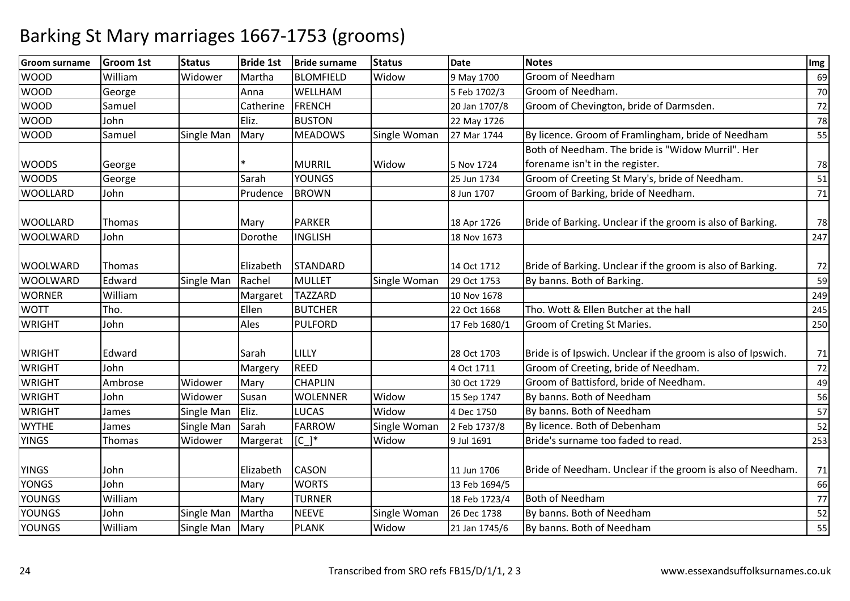| <b>Groom surname</b> | <b>Groom 1st</b> | <b>Status</b> | <b>Bride 1st</b> | <b>Bride surname</b> | <b>Status</b> | <b>Date</b>   | <b>Notes</b>                                                  | Im g |
|----------------------|------------------|---------------|------------------|----------------------|---------------|---------------|---------------------------------------------------------------|------|
| <b>WOOD</b>          | William          | Widower       | Martha           | <b>BLOMFIELD</b>     | Widow         | 9 May 1700    | <b>Groom of Needham</b>                                       | 69   |
| <b>WOOD</b>          | George           |               | Anna             | WELLHAM              |               | 5 Feb 1702/3  | Groom of Needham.                                             | 70   |
| <b>WOOD</b>          | Samuel           |               | Catherine        | <b>FRENCH</b>        |               | 20 Jan 1707/8 | Groom of Chevington, bride of Darmsden.                       | 72   |
| <b>WOOD</b>          | John             |               | Eliz.            | <b>BUSTON</b>        |               | 22 May 1726   |                                                               | 78   |
| <b>WOOD</b>          | Samuel           | Single Man    | Mary             | <b>MEADOWS</b>       | Single Woman  | 27 Mar 1744   | By licence. Groom of Framlingham, bride of Needham            | 55   |
|                      |                  |               |                  |                      |               |               | Both of Needham. The bride is "Widow Murril". Her             |      |
| <b>WOODS</b>         | George           |               |                  | <b>MURRIL</b>        | Widow         | 5 Nov 1724    | forename isn't in the register.                               | 78   |
| <b>WOODS</b>         | George           |               | Sarah            | <b>YOUNGS</b>        |               | 25 Jun 1734   | Groom of Creeting St Mary's, bride of Needham.                | 51   |
| <b>WOOLLARD</b>      | John             |               | Prudence         | <b>BROWN</b>         |               | 8 Jun 1707    | Groom of Barking, bride of Needham.                           | 71   |
| <b>WOOLLARD</b>      | Thomas           |               | Mary             | <b>PARKER</b>        |               | 18 Apr 1726   | Bride of Barking. Unclear if the groom is also of Barking.    | 78   |
| <b>WOOLWARD</b>      | John             |               | Dorothe          | <b>INGLISH</b>       |               | 18 Nov 1673   |                                                               | 247  |
| <b>WOOLWARD</b>      | Thomas           |               | Elizabeth        | <b>STANDARD</b>      |               | 14 Oct 1712   | Bride of Barking. Unclear if the groom is also of Barking.    | 72   |
| <b>WOOLWARD</b>      | Edward           | Single Man    | Rachel           | <b>MULLET</b>        | Single Woman  | 29 Oct 1753   | By banns. Both of Barking.                                    | 59   |
| <b>WORNER</b>        | William          |               | Margaret         | <b>TAZZARD</b>       |               | 10 Nov 1678   |                                                               | 249  |
| <b>WOTT</b>          | Tho.             |               | Ellen            | <b>BUTCHER</b>       |               | 22 Oct 1668   | Tho. Wott & Ellen Butcher at the hall                         | 245  |
| <b>WRIGHT</b>        | John             |               | Ales             | PULFORD              |               | 17 Feb 1680/1 | Groom of Creting St Maries.                                   | 250  |
| <b>WRIGHT</b>        | Edward           |               | Sarah            | LILLY                |               | 28 Oct 1703   | Bride is of Ipswich. Unclear if the groom is also of Ipswich. | 71   |
| <b>WRIGHT</b>        | John             |               | Margery          | <b>REED</b>          |               | 4 Oct 1711    | Groom of Creeting, bride of Needham.                          | 72   |
| <b>WRIGHT</b>        | Ambrose          | Widower       | Mary             | <b>CHAPLIN</b>       |               | 30 Oct 1729   | Groom of Battisford, bride of Needham.                        | 49   |
| <b>WRIGHT</b>        | John             | Widower       | Susan            | <b>WOLENNER</b>      | Widow         | 15 Sep 1747   | By banns. Both of Needham                                     | 56   |
| <b>WRIGHT</b>        | James            | Single Man    | Eliz.            | <b>LUCAS</b>         | Widow         | 4 Dec 1750    | By banns. Both of Needham                                     | 57   |
| <b>WYTHE</b>         | James            | Single Man    | Sarah            | <b>FARROW</b>        | Single Woman  | 2 Feb 1737/8  | By licence. Both of Debenham                                  | 52   |
| <b>YINGS</b>         | <b>Thomas</b>    | Widower       | Margerat         | $[C]^{*}$            | Widow         | 9 Jul 1691    | Bride's surname too faded to read.                            | 253  |
| <b>YINGS</b>         | John             |               | Elizabeth        | <b>CASON</b>         |               | 11 Jun 1706   | Bride of Needham. Unclear if the groom is also of Needham.    | 71   |
| <b>YONGS</b>         | John             |               | Mary             | <b>WORTS</b>         |               | 13 Feb 1694/5 |                                                               | 66   |
| <b>YOUNGS</b>        | William          |               | Mary             | <b>TURNER</b>        |               | 18 Feb 1723/4 | Both of Needham                                               | 77   |
| <b>YOUNGS</b>        | John             | Single Man    | Martha           | <b>NEEVE</b>         | Single Woman  | 26 Dec 1738   | By banns. Both of Needham                                     | 52   |
| <b>YOUNGS</b>        | William          | Single Man    | Mary             | <b>PLANK</b>         | Widow         | 21 Jan 1745/6 | By banns. Both of Needham                                     | 55   |